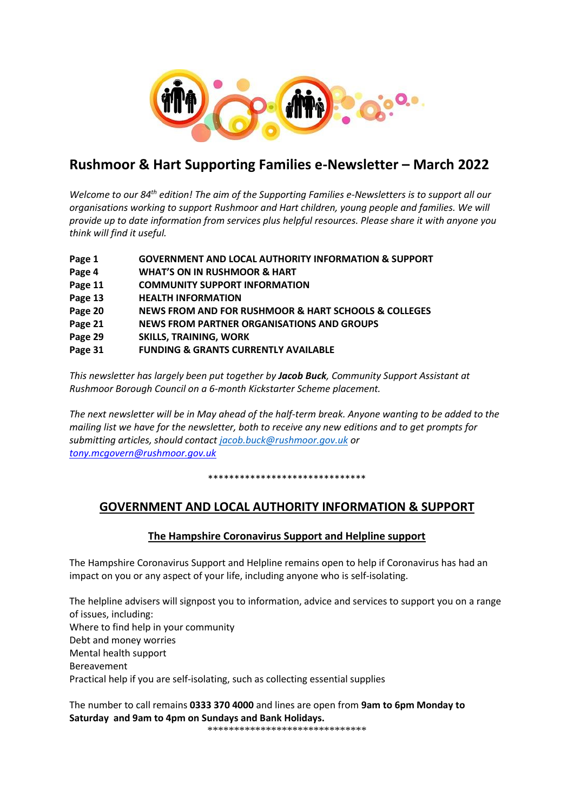

# **Rushmoor & Hart Supporting Families e-Newsletter – March 2022**

*Welcome to our 84th edition! The aim of the Supporting Families e-Newsletters is to support all our organisations working to support Rushmoor and Hart children, young people and families. We will provide up to date information from services plus helpful resources. Please share it with anyone you think will find it useful.* 

- **Page 1 GOVERNMENT AND LOCAL AUTHORITY INFORMATION & SUPPORT**
- **Page 4 WHAT'S ON IN RUSHMOOR & HART**
- **Page 11 COMMUNITY SUPPORT INFORMATION**
- **Page 13 HEALTH INFORMATION**
- **Page 20 NEWS FROM AND FOR RUSHMOOR & HART SCHOOLS & COLLEGES**
- **Page 21 NEWS FROM PARTNER ORGANISATIONS AND GROUPS**
- **Page 29 SKILLS, TRAINING, WORK**

# **Page 31 FUNDING & GRANTS CURRENTLY AVAILABLE**

*This newsletter has largely been put together by Jacob Buck, Community Support Assistant at Rushmoor Borough Council on a 6-month Kickstarter Scheme placement.*

*The next newsletter will be in May ahead of the half-term break. Anyone wanting to be added to the mailing list we have for the newsletter, both to receive any new editions and to get prompts for submitting articles, should contact [jacob.buck@rushmoor.gov.uk](mailto:jacob.buck@rushmoor.gov.uk) or [tony.mcgovern@rushmoor.gov.uk](mailto:tony.mcgovern@rushmoor.gov.uk)*

\*\*\*\*\*\*\*\*\*\*\*\*\*\*\*\*\*\*\*\*\*\*\*\*\*\*\*\*\*\*

# **GOVERNMENT AND LOCAL AUTHORITY INFORMATION & SUPPORT**

# **The Hampshire Coronavirus Support and Helpline support**

The Hampshire Coronavirus Support and Helpline remains open to help if Coronavirus has had an impact on you or any aspect of your life, including anyone who is self-isolating.

The helpline advisers will signpost you to information, advice and services to support you on a range of issues, including: Where to find help in your community Debt and money worries Mental health support Bereavement Practical help if you are self-isolating, such as collecting essential supplies

The number to call remains **0333 370 4000** and lines are open from **9am to 6pm Monday to Saturday and 9am to 4pm on Sundays and Bank Holidays.** 

\*\*\*\*\*\*\*\*\*\*\*\*\*\*\*\*\*\*\*\*\*\*\*\*\*\*\*\*\*\*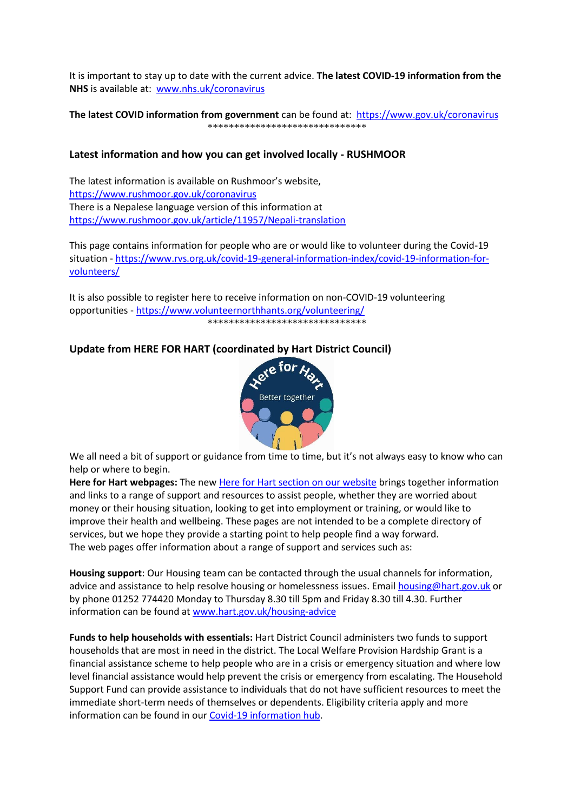It is important to stay up to date with the current advice. **The latest COVID-19 information from the NHS** is available at: [www.nhs.uk/coronavirus](http://www.nhs.uk/coronavirus)

#### **The latest COVID information from government** can be found at: <https://www.gov.uk/coronavirus> \*\*\*\*\*\*\*\*\*\*\*\*\*\*\*\*\*\*\*\*\*\*\*\*\*\*\*\*\*\*

# **Latest information and how you can get involved locally - RUSHMOOR**

The latest information is available on Rushmoor's website, <https://www.rushmoor.gov.uk/coronavirus> There is a Nepalese language version of this information at <https://www.rushmoor.gov.uk/article/11957/Nepali-translation>

This page contains information for people who are or would like to volunteer during the Covid-19 situation - [https://www.rvs.org.uk/covid-19-general-information-index/covid-19-information-for](https://www.rvs.org.uk/covid-19-general-information-index/covid-19-information-for-volunteers/)[volunteers/](https://www.rvs.org.uk/covid-19-general-information-index/covid-19-information-for-volunteers/)

It is also possible to register here to receive information on non-COVID-19 volunteering opportunities - <https://www.volunteernorthhants.org/volunteering/> \*\*\*\*\*\*\*\*\*\*\*\*\*\*\*\*\*\*\*\*\*\*\*\*\*\*\*\*\*\*

# **Update from HERE FOR HART (coordinated by Hart District Council)**



We all need a bit of support or guidance from time to time, but it's not always easy to know who can help or where to begin.

**Here for Hart webpages:** The new [Here for Hart section on our website](http://www.hart.gov.uk/hereforhart) brings together information and links to a range of support and resources to assist people, whether they are worried about money or their housing situation, looking to get into employment or training, or would like to improve their health and wellbeing. These pages are not intended to be a complete directory of services, but we hope they provide a starting point to help people find a way forward. The web pages offer information about a range of support and services such as:

**Housing support**: Our Housing team can be contacted through the usual channels for information, advice and assistance to help resolve housing or homelessness issues. Email [housing@hart.gov.uk](mailto:housing@hart.gov.uk) or by phone 01252 774420 Monday to Thursday 8.30 till 5pm and Friday 8.30 till 4.30. Further information can be found at [www.hart.gov.uk/housing-advice](http://www.hart.gov.uk/housing-advice)

**Funds to help households with essentials:** Hart District Council administers two funds to support households that are most in need in the district. The Local Welfare Provision Hardship Grant is a financial assistance scheme to help people who are in a crisis or emergency situation and where low level financial assistance would help prevent the crisis or emergency from escalating. The Household Support Fund can provide assistance to individuals that do not have sufficient resources to meet the immediate short-term needs of themselves or dependents. Eligibility criteria apply and more information can be found in our [Covid-19 information hub.](https://www.hart.gov.uk/covid-19)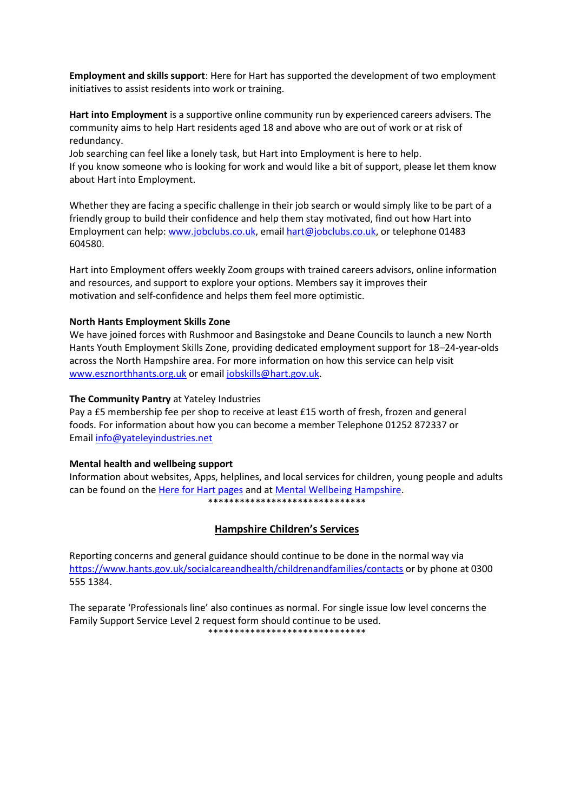**Employment and skills support**: Here for Hart has supported the development of two employment initiatives to assist residents into work or training.

**Hart into Employment** is a supportive online community run by experienced careers advisers. The community aims to help Hart residents aged 18 and above who are out of work or at risk of redundancy.

Job searching can feel like a lonely task, but Hart into Employment is here to help. If you know someone who is looking for work and would like a bit of support, please let them know about Hart into Employment.

Whether they are facing a specific challenge in their job search or would simply like to be part of a friendly group to build their confidence and help them stay motivated, find out how Hart into Employment can help: [www.jobclubs.co.uk,](https://eur02.safelinks.protection.outlook.com/?url=http%3A%2F%2Fwww.jobclubs.co.uk%2F&data=04%7C01%7Cliz.glenn%40hart.gov.uk%7C35a325b0fd1d45b8538508d9b027843b%7C437487d01c5f47b6bd4ea482ae3b011e%7C0%7C0%7C637734506024168144%7CUnknown%7CTWFpbGZsb3d8eyJWIjoiMC4wLjAwMDAiLCJQIjoiV2luMzIiLCJBTiI6Ik1haWwiLCJXVCI6Mn0%3D%7C3000&sdata=FwvnFJH4CkzqShZFH1u0MYenlmbJ6OUbF7BJHHp0QPw%3D&reserved=0) email [hart@jobclubs.co.uk,](mailto:hart@jobclubs.co.uk) or telephone 01483 604580.

Hart into Employment offers weekly Zoom groups with trained careers advisors, online information and resources, and support to explore your options. Members say it improves their motivation and self-confidence and helps them feel more optimistic.

# **North Hants Employment Skills Zone**

We have joined forces with Rushmoor and Basingstoke and Deane Councils to launch a new North Hants Youth Employment Skills Zone, providing dedicated employment support for 18–24-year-olds across the North Hampshire area. For more information on how this service can help visit [www.esznorthhants.org.uk](https://eur02.safelinks.protection.outlook.com/?url=http%3A%2F%2Fwww.esznorthhants.org.uk%2F&data=04%7C01%7CHelen.Charles%40Hart.gov.uk%7C63807447b8484aea76b308d9e00491cd%7C437487d01c5f47b6bd4ea482ae3b011e%7C0%7C0%7C637787132486177647%7CUnknown%7CTWFpbGZsb3d8eyJWIjoiMC4wLjAwMDAiLCJQIjoiV2luMzIiLCJBTiI6Ik1haWwiLCJXVCI6Mn0%3D%7C3000&sdata=KG9VAXnW4YyZzw4dm15ITBfWbh5EQr0VpHnKDToHhfo%3D&reserved=0) or email [jobskills@hart.gov.uk.](mailto:jobskills@hart.gov.uk)

#### **The Community Pantry** at Yateley Industries

Pay a £5 membership fee per shop to receive at least £15 worth of fresh, frozen and general foods. For information about how you can become a member Telephone 01252 872337 or Email [info@yateleyindustries.net](mailto:info@yateleyindustries.net) 

#### **Mental health and wellbeing support**

Information about websites, Apps, helplines, and local services for children, young people and adults can be found on the [Here for Hart pages](http://www.hart.gov.uk/hereforhart) and at [Mental Wellbeing Hampshire.](https://www.hants.gov.uk/socialcareandhealth/publichealth/mentalwellbeinghampshire/moneyanddebt) \*\*\*\*\*\*\*\*\*\*\*\*\*\*\*\*\*\*\*\*\*\*\*\*\*\*\*\*\*\*

# **Hampshire Children's Services**

Reporting concerns and general guidance should continue to be done in the normal way via <https://www.hants.gov.uk/socialcareandhealth/childrenandfamilies/contacts> or by phone at 0300 555 1384.

The separate 'Professionals line' also continues as normal. For single issue low level concerns the Family Support Service Level 2 request form should continue to be used. \*\*\*\*\*\*\*\*\*\*\*\*\*\*\*\*\*\*\*\*\*\*\*\*\*\*\*\*\*\*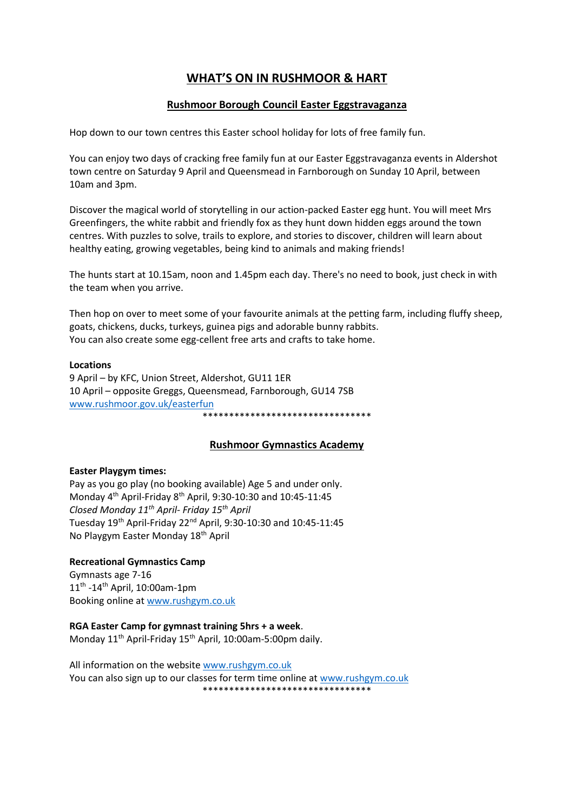# **WHAT'S ON IN RUSHMOOR & HART**

# **Rushmoor Borough Council Easter Eggstravaganza**

Hop down to our town centres this Easter school holiday for lots of free family fun.

You can enjoy two days of cracking free family fun at our Easter Eggstravaganza events in Aldershot town centre on Saturday 9 April and Queensmead in Farnborough on Sunday 10 April, between 10am and 3pm.

Discover the magical world of storytelling in our action-packed Easter egg hunt. You will meet Mrs Greenfingers, the white rabbit and friendly fox as they hunt down hidden eggs around the town centres. With puzzles to solve, trails to explore, and stories to discover, children will learn about healthy eating, growing vegetables, being kind to animals and making friends!

The hunts start at 10.15am, noon and 1.45pm each day. There's no need to book, just check in with the team when you arrive.

Then hop on over to meet some of your favourite animals at the petting farm, including fluffy sheep, goats, chickens, ducks, turkeys, guinea pigs and adorable bunny rabbits. You can also create some egg-cellent free arts and crafts to take home.

#### **Locations**

9 April – by KFC, Union Street, Aldershot, GU11 1ER 10 April – opposite Greggs, Queensmead, Farnborough, GU14 7SB [www.rushmoor.gov.uk/easterfun](http://www.rushmoor.gov.uk/easterfun) \*\*\*\*\*\*\*\*\*\*\*\*\*\*\*\*\*\*\*\*\*\*\*\*\*\*\*\*\*\*\*\*

# **Rushmoor Gymnastics Academy**

# **Easter Playgym times:**

Pay as you go play (no booking available) Age 5 and under only. Monday 4<sup>th</sup> April-Friday 8<sup>th</sup> April, 9:30-10:30 and 10:45-11:45 *Closed Monday 11th April- Friday 15th April* Tuesday 19th April-Friday 22nd April, 9:30-10:30 and 10:45-11:45 No Playgym Easter Monday 18th April

# **Recreational Gymnastics Camp**

Gymnasts age 7-16 11<sup>th</sup> -14<sup>th</sup> April, 10:00am-1pm Booking online at [www.rushgym.co.uk](http://www.rushgym.co.uk/)

# **RGA Easter Camp for gymnast training 5hrs + a week**.

Monday 11<sup>th</sup> April-Friday 15<sup>th</sup> April, 10:00am-5:00pm daily.

All information on the websit[e www.rushgym.co.uk](http://www.rushgym.co.uk/) You can also sign up to our classes for term time online at www.rushgym.co.uk \*\*\*\*\*\*\*\*\*\*\*\*\*\*\*\*\*\*\*\*\*\*\*\*\*\*\*\*\*\*\*\*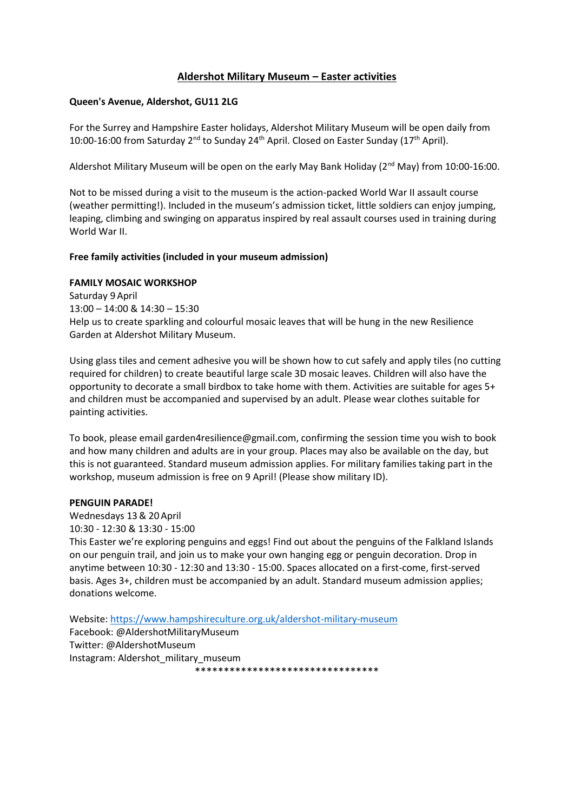# **Aldershot Military Museum – Easter activities**

#### **Queen's Avenue, Aldershot, GU11 2LG**

For the Surrey and Hampshire Easter holidays, Aldershot Military Museum will be open daily from 10:00-16:00 from Saturday 2<sup>nd</sup> to Sunday 24<sup>th</sup> April. Closed on Easter Sunday (17<sup>th</sup> April).

Aldershot Military Museum will be open on the early May Bank Holiday ( $2<sup>nd</sup>$  May) from 10:00-16:00.

Not to be missed during a visit to the museum is the action-packed World War II assault course (weather permitting!). Included in the museum's admission ticket, little soldiers can enjoy jumping, leaping, climbing and swinging on apparatus inspired by real assault courses used in training during World War II.

# **Free family activities (included in your museum admission)**

#### **FAMILY MOSAIC WORKSHOP**

Saturday 9 April 13:00 – 14:00 & 14:30 – 15:30 Help us to create sparkling and colourful mosaic leaves that will be hung in the new Resilience Garden at Aldershot Military Museum.

Using glass tiles and cement adhesive you will be shown how to cut safely and apply tiles (no cutting required for children) to create beautiful large scale 3D mosaic leaves. Children will also have the opportunity to decorate a small birdbox to take home with them. Activities are suitable for ages 5+ and children must be accompanied and supervised by an adult. Please wear clothes suitable for painting activities.

To book, please email garden4resilience@gmail.com, confirming the session time you wish to book and how many children and adults are in your group. Places may also be available on the day, but this is not guaranteed. Standard museum admission applies. For military families taking part in the workshop, museum admission is free on 9 April! (Please show military ID).

#### **PENGUIN PARADE!**

Wednesdays 13& 20 April 10:30 - 12:30 & 13:30 - 15:00

This Easter we're exploring penguins and eggs! Find out about the penguins of the Falkland Islands on our penguin trail, and join us to make your own hanging egg or penguin decoration. Drop in anytime between 10:30 - 12:30 and 13:30 - 15:00. Spaces allocated on a first-come, first-served basis. Ages 3+, children must be accompanied by an adult. Standard museum admission applies; donations welcome.

Website[: https://www.hampshireculture.org.uk/aldershot-military-museum](https://www.hampshireculture.org.uk/aldershot-military-museum) Facebook: @AldershotMilitaryMuseum Twitter: @AldershotMuseum Instagram: Aldershot\_military\_museum

\*\*\*\*\*\*\*\*\*\*\*\*\*\*\*\*\*\*\*\*\*\*\*\*\*\*\*\*\*\*\*\*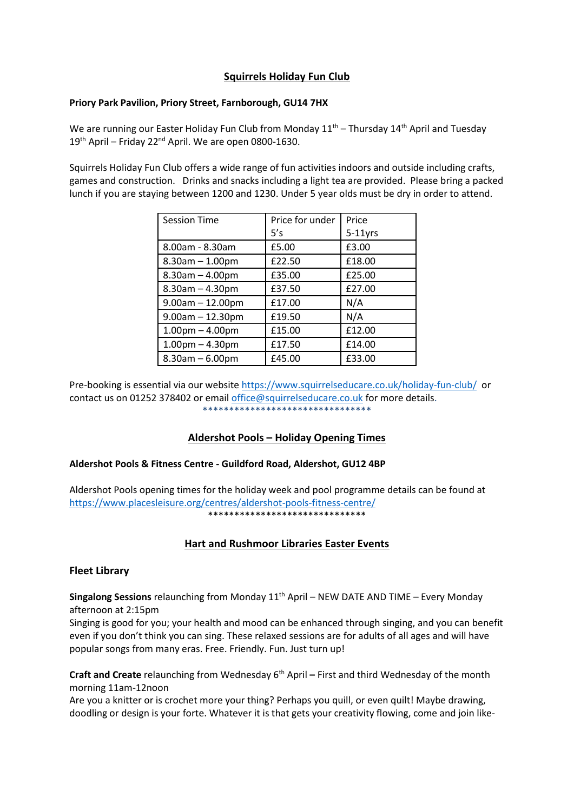# **Squirrels Holiday Fun Club**

# **Priory Park Pavilion, Priory Street, Farnborough, GU14 7HX**

We are running our Easter Holiday Fun Club from Monday  $11<sup>th</sup>$  – Thursday  $14<sup>th</sup>$  April and Tuesday 19<sup>th</sup> April – Friday 22<sup>nd</sup> April. We are open 0800-1630.

Squirrels Holiday Fun Club offers a wide range of fun activities indoors and outside including crafts, games and construction. Drinks and snacks including a light tea are provided. Please bring a packed lunch if you are staying between 1200 and 1230. Under 5 year olds must be dry in order to attend.

| <b>Session Time</b>   | Price for under | Price      |
|-----------------------|-----------------|------------|
|                       | 5's             | $5-11$ yrs |
| 8.00am - 8.30am       | £5.00           | £3.00      |
| $8.30$ am $- 1.00$ pm | £22.50          | £18.00     |
| $8.30$ am $- 4.00$ pm | £35.00          | £25.00     |
| $8.30$ am $- 4.30$ pm | £37.50          | £27.00     |
| $9.00am - 12.00pm$    | £17.00          | N/A        |
| $9.00am - 12.30pm$    | £19.50          | N/A        |
| $1.00pm - 4.00pm$     | £15.00          | £12.00     |
| $1.00pm - 4.30pm$     | £17.50          | £14.00     |
| $8.30$ am $- 6.00$ pm | £45.00          | £33.00     |

Pre-booking is essential via our websit[e https://www.squirrelseducare.co.uk/holiday-fun-club/](https://www.squirrelseducare.co.uk/holiday-fun-club/) or contact us on 01252 378402 or email [office@squirrelseducare.co.uk](mailto:office@squirrelseducare.co.uk) for more details. \*\*\*\*\*\*\*\*\*\*\*\*\*\*\*\*\*\*\*\*\*\*\*\*\*\*\*\*\*\*\*\*

# **Aldershot Pools – Holiday Opening Times**

# **Aldershot Pools & Fitness Centre - Guildford Road, Aldershot, GU12 4BP**

Aldershot Pools opening times for the holiday week and pool programme details can be found at <https://www.placesleisure.org/centres/aldershot-pools-fitness-centre/> \*\*\*\*\*\*\*\*\*\*\*\*\*\*\*\*\*\*\*\*\*\*\*\*\*\*\*\*\*\*

# **Hart and Rushmoor Libraries Easter Events**

# **Fleet Library**

**Singalong Sessions** relaunching from Monday 11<sup>th</sup> April – NEW DATE AND TIME – Every Monday afternoon at 2:15pm

Singing is good for you; your health and mood can be enhanced through singing, and you can benefit even if you don't think you can sing. These relaxed sessions are for adults of all ages and will have popular songs from many eras. Free. Friendly. Fun. Just turn up!

**Craft and Create** relaunching from Wednesday 6<sup>th</sup> April – First and third Wednesday of the month morning 11am-12noon

Are you a knitter or is crochet more your thing? Perhaps you quill, or even quilt! Maybe drawing, doodling or design is your forte. Whatever it is that gets your creativity flowing, come and join like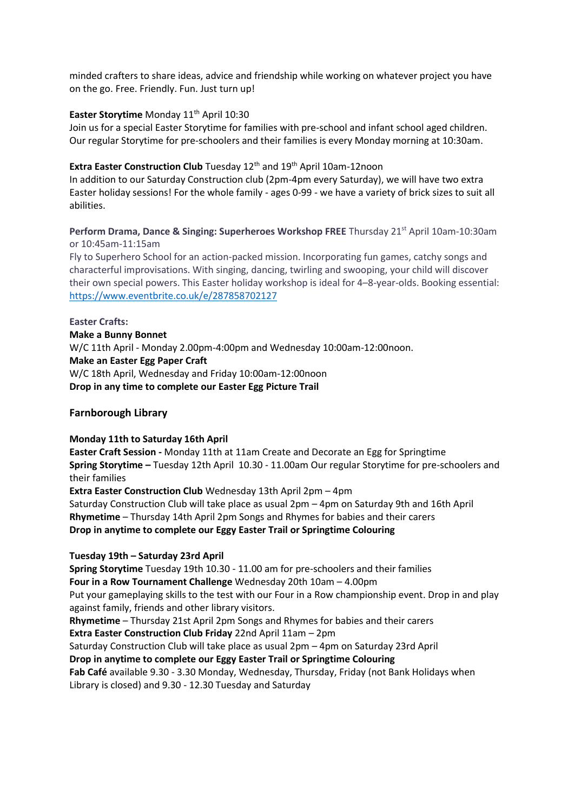minded crafters to share ideas, advice and friendship while working on whatever project you have on the go. Free. Friendly. Fun. Just turn up!

# **Easter Storytime** Monday 11<sup>th</sup> April 10:30

Join us for a special Easter Storytime for families with pre-school and infant school aged children. Our regular Storytime for pre-schoolers and their families is every Monday morning at 10:30am.

# **Extra Easter Construction Club** Tuesday 12<sup>th</sup> and 19<sup>th</sup> April 10am-12noon

In addition to our Saturday Construction club (2pm-4pm every Saturday), we will have two extra Easter holiday sessions! For the whole family - ages 0-99 - we have a variety of brick sizes to suit all abilities.

**Perform Drama, Dance & Singing: Superheroes Workshop FREE** Thursday 21<sup>st</sup> April 10am-10:30am or 10:45am-11:15am

Fly to Superhero School for an action-packed mission. Incorporating fun games, catchy songs and characterful improvisations. With singing, dancing, twirling and swooping, your child will discover their own special powers. This Easter holiday workshop is ideal for 4–8-year-olds. Booking essential: <https://www.eventbrite.co.uk/e/287858702127>

**Easter Crafts: Make a Bunny Bonnet**  W/C 11th April - Monday 2.00pm-4:00pm and Wednesday 10:00am-12:00noon. **Make an Easter Egg Paper Craft**  W/C 18th April, Wednesday and Friday 10:00am-12:00noon **Drop in any time to complete our Easter Egg Picture Trail**

# **Farnborough Library**

# **Monday 11th to Saturday 16th April**

**Easter Craft Session -** Monday 11th at 11am Create and Decorate an Egg for Springtime **Spring Storytime –** Tuesday 12th April 10.30 - 11.00am Our regular Storytime for pre-schoolers and their families

**Extra Easter Construction Club** Wednesday 13th April 2pm – 4pm

Saturday Construction Club will take place as usual 2pm – 4pm on Saturday 9th and 16th April **Rhymetime** – Thursday 14th April 2pm Songs and Rhymes for babies and their carers **Drop in anytime to complete our Eggy Easter Trail or Springtime Colouring**

# **Tuesday 19th – Saturday 23rd April**

**Spring Storytime** Tuesday 19th 10.30 - 11.00 am for pre-schoolers and their families **Four in a Row Tournament Challenge** Wednesday 20th 10am – 4.00pm Put your gameplaying skills to the test with our Four in a Row championship event. Drop in and play against family, friends and other library visitors.

**Rhymetime** – Thursday 21st April 2pm Songs and Rhymes for babies and their carers

**Extra Easter Construction Club Friday** 22nd April 11am – 2pm

Saturday Construction Club will take place as usual 2pm – 4pm on Saturday 23rd April

**Drop in anytime to complete our Eggy Easter Trail or Springtime Colouring Fab Café** available 9.30 - 3.30 Monday, Wednesday, Thursday, Friday (not Bank Holidays when Library is closed) and 9.30 - 12.30 Tuesday and Saturday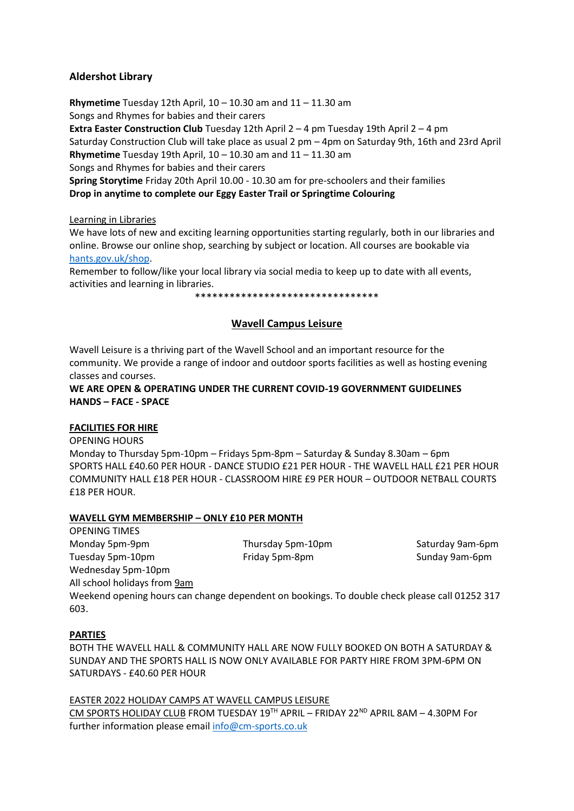# **Aldershot Library**

**Rhymetime** Tuesday 12th April, 10 – 10.30 am and 11 – 11.30 am Songs and Rhymes for babies and their carers **Extra Easter Construction Club** Tuesday 12th April 2 – 4 pm Tuesday 19th April 2 – 4 pm Saturday Construction Club will take place as usual 2 pm – 4pm on Saturday 9th, 16th and 23rd April **Rhymetime** Tuesday 19th April, 10 – 10.30 am and 11 – 11.30 am Songs and Rhymes for babies and their carers **Spring Storytime** Friday 20th April 10.00 - 10.30 am for pre-schoolers and their families **Drop in anytime to complete our Eggy Easter Trail or Springtime Colouring**

# Learning in Libraries

We have lots of new and exciting learning opportunities starting regularly, both in our libraries and online. Browse our online shop, searching by subject or location. All courses are bookable via [hants.gov.uk/shop.](https://shop.hants.gov.uk/collections/library-courses)

Remember to follow/like your local library via social media to keep up to date with all events, activities and learning in libraries.

\*\*\*\*\*\*\*\*\*\*\*\*\*\*\*\*\*\*\*\*\*\*\*\*\*\*\*\*\*\*\*\*

# **Wavell Campus Leisure**

Wavell Leisure is a thriving part of the Wavell School and an important resource for the community. We provide a range of indoor and outdoor sports facilities as well as hosting evening classes and courses.

**WE ARE OPEN & OPERATING UNDER THE CURRENT COVID-19 GOVERNMENT GUIDELINES HANDS – FACE - SPACE**

# **FACILITIES FOR HIRE**

OPENING HOURS Monday to Thursday 5pm-10pm – Fridays 5pm-8pm – Saturday & Sunday 8.30am – 6pm SPORTS HALL £40.60 PER HOUR - DANCE STUDIO £21 PER HOUR - THE WAVELL HALL £21 PER HOUR COMMUNITY HALL £18 PER HOUR - CLASSROOM HIRE £9 PER HOUR – OUTDOOR NETBALL COURTS £18 PER HOUR.

# **WAVELL GYM MEMBERSHIP – ONLY £10 PER MONTH**

OPENING TIMES Monday 5pm-9pm Thursday 5pm-10pm Saturday 9am-6pm Tuesday 5pm-10pm Friday 5pm-8pm Sunday 9am-6pm Wednesday 5pm-10pm All school holidays from 9am

Weekend opening hours can change dependent on bookings. To double check please call 01252 317 603.

# **PARTIES**

BOTH THE WAVELL HALL & COMMUNITY HALL ARE NOW FULLY BOOKED ON BOTH A SATURDAY & SUNDAY AND THE SPORTS HALL IS NOW ONLY AVAILABLE FOR PARTY HIRE FROM 3PM-6PM ON SATURDAYS - £40.60 PER HOUR

EASTER 2022 HOLIDAY CAMPS AT WAVELL CAMPUS LEISURE CM SPORTS HOLIDAY CLUB FROM TUESDAY 19TH APRIL – FRIDAY 22<sup>ND</sup> APRIL 8AM – 4.30PM For further information please email [info@cm-sports.co.uk](mailto:info@cm-sports.co.uk)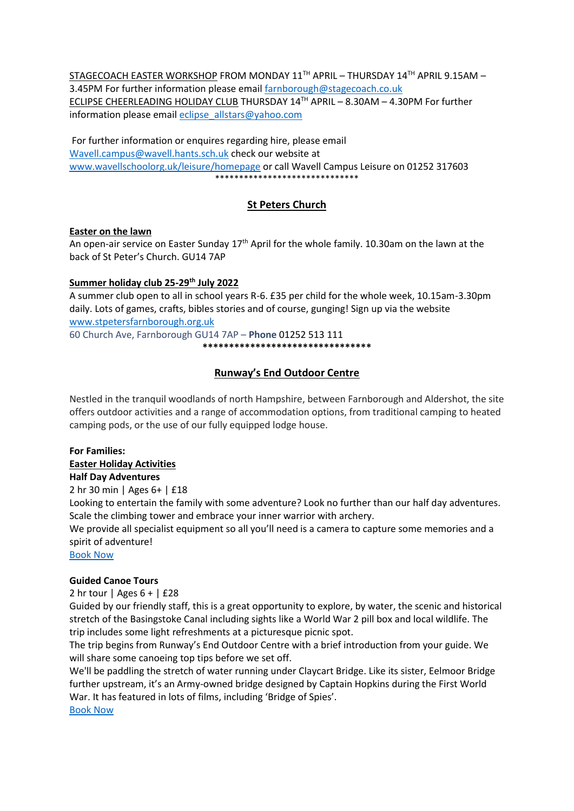STAGECOACH EASTER WORKSHOP FROM MONDAY 11TH APRIL – THURSDAY 14TH APRIL 9.15AM – 3.45PM For further information please emai[l farnborough@stagecoach.co.uk](mailto:farnborough@stagecoach.co.uk) ECLIPSE CHEERLEADING HOLIDAY CLUB THURSDAY 14TH APRIL – 8.30AM – 4.30PM For further information please email [eclipse\\_allstars@yahoo.com](mailto:eclipse_allstars@yahoo.com)

For further information or enquires regarding hire, please email [Wavell.campus@wavell.hants.sch.uk](mailto:Wavell.campus@wavell.hants.sch.uk) check our website at [www.wavellschoolorg.uk/leisure/homepage](http://www.wavellschoolorg.uk/leisure/homepage) or call Wavell Campus Leisure on 01252 317603 \*\*\*\*\*\*\*\*\*\*\*\*\*\*\*\*\*\*\*\*\*\*\*\*\*\*\*\*\*\*

# **St Peters Church**

#### **Easter on the lawn**

An open-air service on Easter Sunday  $17<sup>th</sup>$  April for the whole family. 10.30am on the lawn at the back of St Peter's Church. GU14 7AP

#### **Summer holiday club 25-29th July 2022**

A summer club open to all in school years R-6. £35 per child for the whole week, 10.15am-3.30pm daily. Lots of games, crafts, bibles stories and of course, gunging! Sign up via the website [www.stpetersfarnborough.org.uk](http://www.stpetersfarnborough.org.uk/)

60 Church Ave, Farnborough GU14 7AP – **Phone** [01252 513](tel:+441252513111) 111 **\*\*\*\*\*\*\*\*\*\*\*\*\*\*\*\*\*\*\*\*\*\*\*\*\*\*\*\*\*\*\*\***

# **Runway's End Outdoor Centre**

Nestled in the tranquil woodlands of north Hampshire, between Farnborough and Aldershot, the site offers outdoor activities and a range of accommodation options, from traditional camping to heated camping pods, or the use of our fully equipped lodge house.

#### **For Families:**

**Easter Holiday Activities Half Day Adventures** 

2 hr 30 min | Ages 6+ | £18

Looking to entertain the family with some adventure? Look no further than our half day adventures. Scale the climbing tower and embrace your inner warrior with archery.

We provide all specialist equipment so all you'll need is a camera to capture some memories and a spirit of adventure!

[Book Now](https://hampshireoutdoorcentres.cinolla.com/runwaysend/course/action-adventure-half-days?_ga=2.173165798.454983650.1648126037-735476300.1647516259)

#### **Guided Canoe Tours**

2 hr tour | Ages  $6 +$  | £28

Guided by our friendly staff, this is a great opportunity to explore, by water, the scenic and historical stretch of the Basingstoke Canal including sights like a World War 2 pill box and local wildlife. The trip includes some light refreshments at a picturesque picnic spot.

The trip begins from Runway's End Outdoor Centre with a brief introduction from your guide. We will share some canoeing top tips before we set off.

We'll be paddling the stretch of water running under Claycart Bridge. Like its sister, Eelmoor Bridge further upstream, it's an Army-owned bridge designed by Captain Hopkins during the First World War. It has featured in lots of films, including 'Bridge of Spies'. [Book Now](https://hampshireoutdoorcentres.cinolla.com/runwaysend/course/guided-canoe-tours?_ga=2.103386949.454983650.1648126037-735476300.1647516259)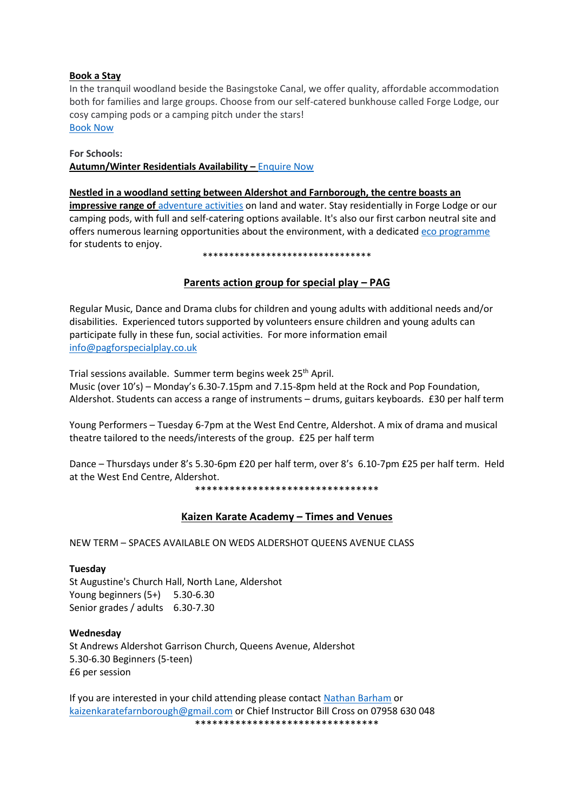# **Book a Stay**

In the tranquil woodland beside the Basingstoke Canal, we offer quality, affordable accommodation both for families and large groups. Choose from our self-catered bunkhouse called Forge Lodge, our cosy camping pods or a camping pitch under the stars! [Book Now](https://www.hants.gov.uk/thingstodo/outdoorcentres/ourcentres/runwaysend/stay)

#### **For Schools:**

**Autumn/Winter Residentials Availability –** [Enquire Now](https://forms.office.com/Pages/ResponsePage.aspx?id=tdiBPwfuF0yGnB20OQGNm39AdKCGzUVArD4dM-8R8M9UNTlPWkNLUVVIVDdRVkRLN1laNEdOSk1PWi4u&utm_source=SAPHybris&utm_medium=email&utm_campaign=SEND_TEST&utm_term=HOC%20edu%20newsletter%20Feb%2022___Autumn%20availability%20button&utm_content=EN&wdLOR=cE5847C30-D0E3-4D90-96FB-82AA74B94BB9)

# **Nestled in a woodland setting between Aldershot and Farnborough, the centre boasts an**

**impressive range of** [adventure activities](https://www.hants.gov.uk/thingstodo/outdoorcentres/schooloutdoorcentres/our-centres/activities?filter=.Runways-End) on land and water. Stay residentially in Forge Lodge or our camping pods, with full and self-catering options available. It's also our first carbon neutral site and offers numerous learning opportunities about the environment, with a dedicated [eco programme](https://www.hants.gov.uk/thingstodo/outdoorcentres/schooloutdoorcentres/programmes/eco?utm_source=SAPHybris&utm_medium=email&utm_campaign=SEND_TEST&utm_term=HOC%20edu%20newsletter%20Feb%2022___RWE%20eco%20programme%20link&utm_content=EN) for students to enjoy.

#### \*\*\*\*\*\*\*\*\*\*\*\*\*\*\*\*\*\*\*\*\*\*\*\*\*\*\*\*\*\*\*\*

# **Parents action group for special play – PAG**

Regular Music, Dance and Drama clubs for children and young adults with additional needs and/or disabilities. Experienced tutors supported by volunteers ensure children and young adults can participate fully in these fun, social activities. For more information email [info@pagforspecialplay.co.uk](mailto:info@pagforspecialplay.co.uk)

Trial sessions available. Summer term begins week 25<sup>th</sup> April.

Music (over 10's) – Monday's 6.30-7.15pm and 7.15-8pm held at the Rock and Pop Foundation, Aldershot. Students can access a range of instruments – drums, guitars keyboards. £30 per half term

Young Performers – Tuesday 6-7pm at the West End Centre, Aldershot. A mix of drama and musical theatre tailored to the needs/interests of the group. £25 per half term

Dance – Thursdays under 8's 5.30-6pm £20 per half term, over 8's 6.10-7pm £25 per half term. Held at the West End Centre, Aldershot.

\*\*\*\*\*\*\*\*\*\*\*\*\*\*\*\*\*\*\*\*\*\*\*\*\*\*\*\*\*\*\*\*

# **Kaizen Karate Academy – Times and Venues**

NEW TERM – SPACES AVAILABLE ON WEDS ALDERSHOT QUEENS AVENUE CLASS

#### **Tuesday**

St Augustine's Church Hall, North Lane, Aldershot Young beginners (5+) 5.30-6.30 Senior grades / adults 6.30-7.30

#### **Wednesday**

St Andrews Aldershot Garrison Church, Queens Avenue, Aldershot 5.30-6.30 Beginners (5-teen) £6 per session

If you are interested in your child attending please contac[t Nathan Barham](https://www.facebook.com/groups/141697899265397/user/630420322/?__cft__%5b0%5d=AZVvgmsnhNFM084ngfmoKc5l6_1c35QcjgOg5Xsp1hQLuPNIPuJI8A88ABRncZZQM-w4zPx3rEfvAOnZccf6EP5v6RtXWatYL3Bye8C9r57G1Lju7aP-xs5lzkQRa0LCRyk&__tn__=-%5dK-R) or [kaizenkaratefarnborough@gmail.com](mailto:kaizenkaratefarnborough@gmail.com) or Chief Instructor Bill Cross on 07958 630 048 \*\*\*\*\*\*\*\*\*\*\*\*\*\*\*\*\*\*\*\*\*\*\*\*\*\*\*\*\*\*\*\*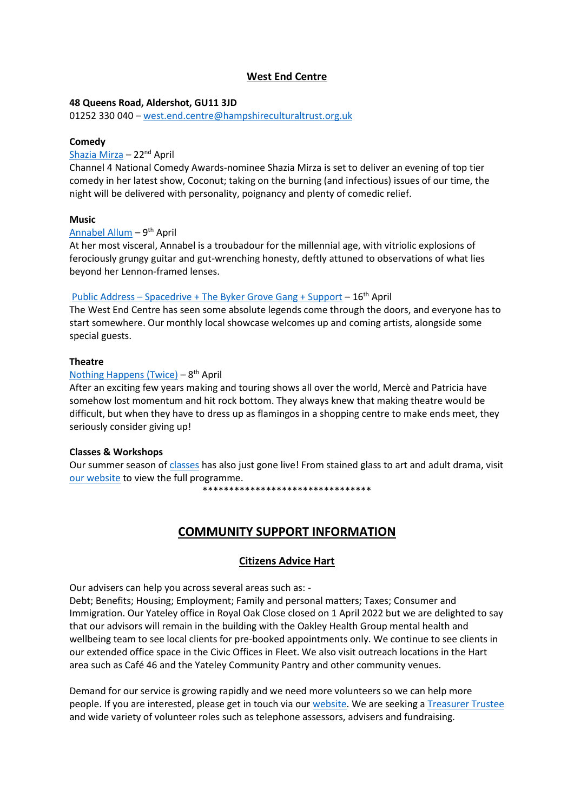# **West End Centre**

# **48 Queens Road, Aldershot, GU11 3JD**

01252 330 040 – [west.end.centre@hampshireculturaltrust.org.uk](mailto:west.end.centre@hampshireculturaltrust.org.uk)

# **Comedy**

# [Shazia Mirza](https://www.westendcentre.co.uk/event/shazia-mirza-coconut) – 22nd April

Channel 4 National Comedy Awards-nominee Shazia Mirza is set to deliver an evening of top tier comedy in her latest show, Coconut; taking on the burning (and infectious) issues of our time, the night will be delivered with personality, poignancy and plenty of comedic relief.

# **Music**

# [Annabel Allum](https://www.westendcentre.co.uk/event/annabel-allum) - 9<sup>th</sup> April

At her most visceral, Annabel is a troubadour for the millennial age, with vitriolic explosions of ferociously grungy guitar and gut-wrenching honesty, deftly attuned to observations of what lies beyond her Lennon-framed lenses.

# Public Address – [Spacedrive + The Byker Grove Gang + Support](https://www.westendcentre.co.uk/event/public-address-spacedrive-byker-grove-gang-support) – 16th April

The West End Centre has seen some absolute legends come through the doors, and everyone has to start somewhere. Our monthly local showcase welcomes up and coming artists, alongside some special guests.

# **Theatre**

# [Nothing Happens \(Twice\)](https://www.westendcentre.co.uk/event/nothing-happens-twice-presented-little-soldier-productions) - 8<sup>th</sup> April

After an exciting few years making and touring shows all over the world, Mercè and Patricia have somehow lost momentum and hit rock bottom. They always knew that making theatre would be difficult, but when they have to dress up as flamingos in a shopping centre to make ends meet, they seriously consider giving up!

# **Classes & Workshops**

Our summer season of [classes](https://www.westendcentre.co.uk/events?category=33) has also just gone live! From stained glass to art and adult drama, visit [our website](https://www.westendcentre.co.uk/) to view the full programme.

\*\*\*\*\*\*\*\*\*\*\*\*\*\*\*\*\*\*\*\*\*\*\*\*\*\*\*\*\*\*\*\*

# **COMMUNITY SUPPORT INFORMATION**

# **Citizens Advice Hart**

Our advisers can help you across several areas such as: -

Debt; Benefits; Housing; Employment; Family and personal matters; Taxes; Consumer and Immigration. Our Yateley office in Royal Oak Close closed on 1 April 2022 but we are delighted to say that our advisors will remain in the building with the Oakley Health Group mental health and wellbeing team to see local clients for pre-booked appointments only. We continue to see clients in our extended office space in the Civic Offices in Fleet. We also visit outreach locations in the Hart area such as Café 46 and the Yateley Community Pantry and other community venues.

Demand for our service is growing rapidly and we need more volunteers so we can help more people. If you are interested, please get in touch via our [website.](https://citizensadvicehart.org.uk/get-involved/volunteering/) We are seeking [a Treasurer Trustee](https://citizensadvicehart.org.uk/treasurer-trustee-role/) and wide variety of volunteer roles such as telephone assessors, advisers and fundraising.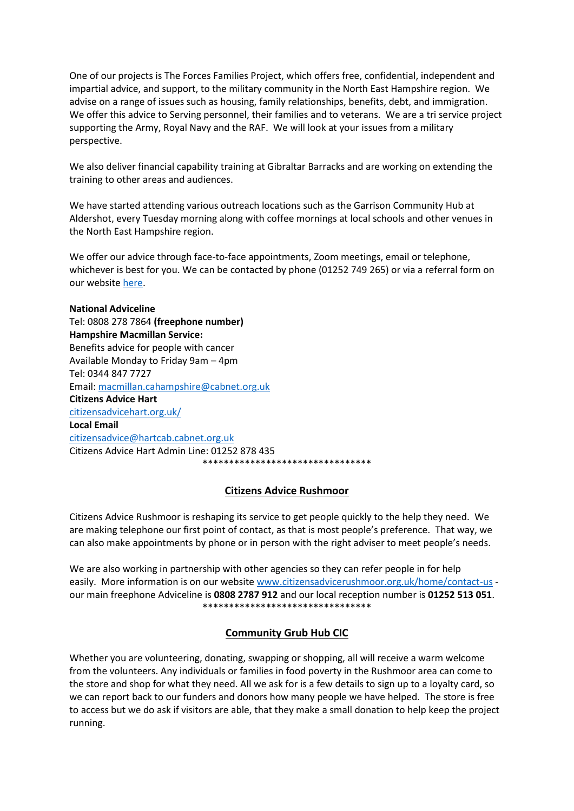One of our projects is The Forces Families Project, which offers free, confidential, independent and impartial advice, and support, to the military community in the North East Hampshire region. We advise on a range of issues such as housing, family relationships, benefits, debt, and immigration. We offer this advice to Serving personnel, their families and to veterans. We are a tri service project supporting the Army, Royal Navy and the RAF. We will look at your issues from a military perspective.

We also deliver financial capability training at Gibraltar Barracks and are working on extending the training to other areas and audiences.

We have started attending various outreach locations such as the Garrison Community Hub at Aldershot, every Tuesday morning along with coffee mornings at local schools and other venues in the North East Hampshire region.

We offer our advice through face-to-face appointments, Zoom meetings, email or telephone, whichever is best for you. We can be contacted by phone (01252 749 265) or via a referral form on our websit[e here.](https://citizensadvicehart.org.uk/projects/the-forces-families-project/)

**National Adviceline** Tel: 0808 278 7864 **(freephone number) Hampshire Macmillan Service:**  Benefits advice for people with cancer Available Monday to Friday 9am – 4pm Tel: 0344 847 7727 Email: [macmillan.cahampshire@cabnet.org.uk](mailto:macmillan.cahampshire@cabnet.org.uk) **Citizens Advice Hart** [citizensadvicehart.org.uk/](https://citizensadvicehart.org.uk/) **Local Email** [citizensadvice@hartcab.cabnet.org.uk](mailto:citizensadvice@hartcab.cabnet.org.uk) Citizens Advice Hart Admin Line: 01252 878 435 \*\*\*\*\*\*\*\*\*\*\*\*\*\*\*\*\*\*\*\*\*\*\*\*\*\*\*\*\*\*\*\*

# **Citizens Advice Rushmoor**

Citizens Advice Rushmoor is reshaping its service to get people quickly to the help they need. We are making telephone our first point of contact, as that is most people's preference. That way, we can also make appointments by phone or in person with the right adviser to meet people's needs.

We are also working in partnership with other agencies so they can refer people in for help easily. More information is on our website [www.citizensadvicerushmoor.org.uk/home/contact-us](http://www.citizensadvicerushmoor.org.uk/home/contact-us) our main freephone Adviceline is **0808 2787 912** and our local reception number is **01252 513 051**. \*\*\*\*\*\*\*\*\*\*\*\*\*\*\*\*\*\*\*\*\*\*\*\*\*\*\*\*\*\*\*\*

# **Community Grub Hub CIC**

Whether you are volunteering, donating, swapping or shopping, all will receive a warm welcome from the volunteers. Any individuals or families in food poverty in the Rushmoor area can come to the store and shop for what they need. All we ask for is a few details to sign up to a loyalty card, so we can report back to our funders and donors how many people we have helped. The store is free to access but we do ask if visitors are able, that they make a small donation to help keep the project running.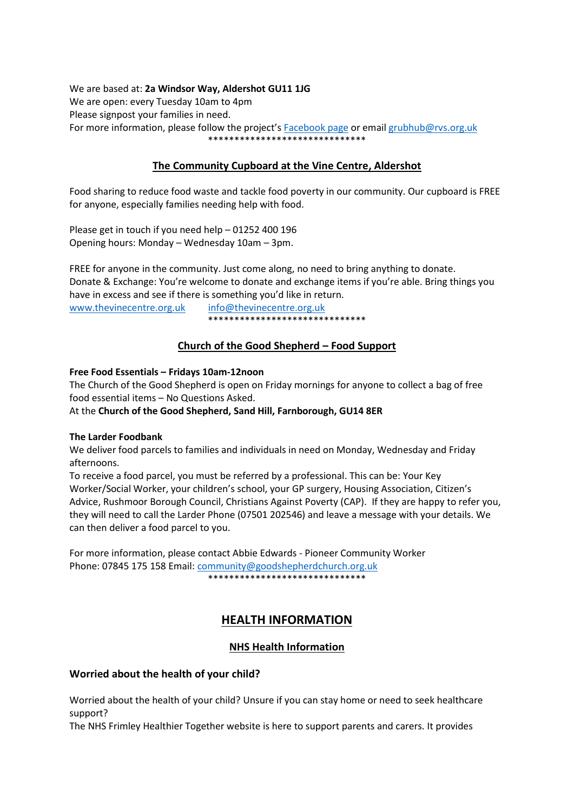We are based at: **2a Windsor Way, Aldershot GU11 1JG** We are open: every Tuesday 10am to 4pm Please signpost your families in need. For more information, please follow the project's [Facebook page](https://www.facebook.com/CommunityGrubHub) or email [grubhub@rvs.org.uk](mailto:grubhub@rvs.org.uk) \*\*\*\*\*\*\*\*\*\*\*\*\*\*\*\*\*\*\*\*\*\*\*\*\*\*\*\*\*\*

# **The Community Cupboard at the Vine Centre, Aldershot**

Food sharing to reduce food waste and tackle food poverty in our community. Our cupboard is FREE for anyone, especially families needing help with food.

Please get in touch if you need help – 01252 400 196 Opening hours: Monday – Wednesday 10am – 3pm.

FREE for anyone in the community. Just come along, no need to bring anything to donate. Donate & Exchange: You're welcome to donate and exchange items if you're able. Bring things you have in excess and see if there is something you'd like in return.

[www.thevinecentre.org.uk](http://www.thevinecentre.org.uk/) [info@thevinecentre.org.uk](mailto:info@thevinecentre.org.uk) \*\*\*\*\*\*\*\*\*\*\*\*\*\*\*\*\*\*\*\*\*\*\*\*\*\*\*\*\*\*

# **Church of the Good Shepherd – Food Support**

# **Free Food Essentials – Fridays 10am-12noon**

The Church of the Good Shepherd is open on Friday mornings for anyone to collect a bag of free food essential items – No Questions Asked.

# At the **Church of the Good Shepherd, Sand Hill, Farnborough, GU14 8ER**

# **The Larder Foodbank**

We deliver food parcels to families and individuals in need on Monday, Wednesday and Friday afternoons.

To receive a food parcel, you must be referred by a professional. This can be: Your Key Worker/Social Worker, your children's school, your GP surgery, Housing Association, Citizen's Advice, Rushmoor Borough Council, Christians Against Poverty (CAP). If they are happy to refer you, they will need to call the Larder Phone (07501 202546) and leave a message with your details. We can then deliver a food parcel to you.

For more information, please contact Abbie Edwards - Pioneer Community Worker Phone: 07845 175 158 Email[: community@goodshepherdchurch.org.uk](mailto:community@goodshepherdchurch.org.uk) \*\*\*\*\*\*\*\*\*\*\*\*\*\*\*\*\*\*\*\*\*\*\*\*\*\*\*\*\*\*

# **HEALTH INFORMATION**

# **NHS Health Information**

# **Worried about the health of your child?**

Worried about the health of your child? Unsure if you can stay home or need to seek healthcare support?

The NHS Frimley Healthier Together website is here to support parents and carers. It provides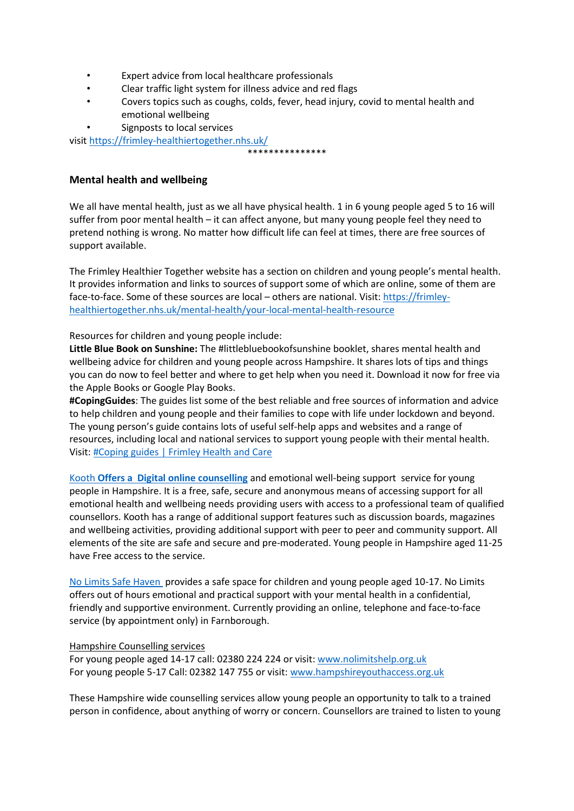- Expert advice from local healthcare professionals
- Clear traffic light system for illness advice and red flags
- Covers topics such as coughs, colds, fever, head injury, covid to mental health and emotional wellbeing

\*\*\*\*\*\*\*\*\*\*\*\*\*\*\*

Signposts to local services

visi[t https://frimley-healthiertogether.nhs.uk/](https://frimley-healthiertogether.nhs.uk/)

# **Mental health and wellbeing**

We all have mental health, just as we all have physical health. 1 in 6 young people aged 5 to 16 will suffer from poor mental health – it can affect anyone, but many young people feel they need to pretend nothing is wrong. No matter how difficult life can feel at times, there are free sources of support available.

The Frimley Healthier Together website has a section on children and young people's mental health. It provides information and links to sources of support some of which are online, some of them are face-to-face. Some of these sources are local – others are national. Visit[: https://frimley](https://frimley-healthiertogether.nhs.uk/mental-health/your-local-mental-health-resource)[healthiertogether.nhs.uk/mental-health/your-local-mental-health-resource](https://frimley-healthiertogether.nhs.uk/mental-health/your-local-mental-health-resource)

Resources for children and young people include:

**Little Blue Book on Sunshine:** The #littlebluebookofsunshine booklet, shares mental health and wellbeing advice for children and young people across Hampshire. It shares lots of tips and things you can do now to feel better and where to get help when you need it. Download it now for free via the Apple Books or Google Play Books.

**#CopingGuides**: The guides list some of the best reliable and free sources of information and advice to help children and young people and their families to cope with life under lockdown and beyond. The young person's guide contains lots of useful self-help apps and websites and a range of resources, including local and national services to support young people with their mental health. Visit[: #Coping guides | Frimley Health and Care](https://www.frimleyhealthandcare.org.uk/coping%E2%80%AF)

[Kooth](https://www.kooth.com/) **Offers a [Digital online counselling](https://www.kooth.com/)** and emotional well-being support  service for young people in Hampshire. It is a free, safe, secure and anonymous means of accessing support for all emotional health and wellbeing needs providing users with access to a professional team of qualified counsellors. Kooth has a range of additional support features such as discussion boards, magazines and wellbeing activities, providing additional support with peer to peer and community support. All elements of the site are safe and secure and pre-moderated. Young people in Hampshire aged 11-25 have Free access to the service.

[No Limits Safe Haven](https://nolimitshelp.org.uk/get-help/health-wellbeing/safe-havens/) provides a safe space for children and young people aged 10-17. No Limits offers out of hours emotional and practical support with your mental health in a confidential, friendly and supportive environment. Currently providing an online, telephone and face-to-face service (by appointment only) in Farnborough.

# Hampshire Counselling services

For young people aged 14-17 call: 02380 224 224 or visit: [www.nolimitshelp.org.uk](http://www.nolimitshelp.org.uk/) For young people 5-17 Call: 02382 147 755 or visit: [www.hampshireyouthaccess.org.uk](http://www.hampshireyouthaccess.org.uk/)

These Hampshire wide counselling services allow young people an opportunity to talk to a trained person in confidence, about anything of worry or concern. Counsellors are trained to listen to young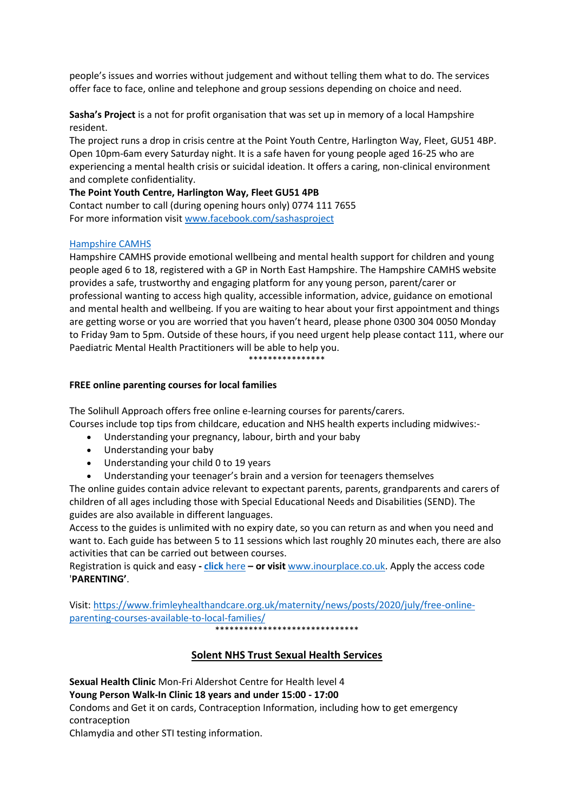people's issues and worries without judgement and without telling them what to do. The services offer face to face, online and telephone and group sessions depending on choice and need.

**Sasha's Project** is a not for profit organisation that was set up in memory of a local Hampshire resident.

The project runs a drop in crisis centre at the Point Youth Centre, Harlington Way, Fleet, GU51 4BP. Open 10pm-6am every Saturday night. It is a safe haven for young people aged 16-25 who are experiencing a mental health crisis or suicidal ideation. It offers a caring, non-clinical environment and complete confidentiality.

**The Point Youth Centre, Harlington Way, Fleet GU51 4PB**

Contact number to call (during opening hours only) 0774 111 7655 For more information visi[t www.facebook.com/sashasproject](http://www.facebook.com/sashasproject)

# [Hampshire CAMHS](https://hampshirecamhs.nhs.uk/%C2%A0)

Hampshire CAMHS provide emotional wellbeing and mental health support for children and young people aged 6 to 18, registered with a GP in North East Hampshire. The Hampshire CAMHS website provides a safe, trustworthy and engaging platform for any young person, parent/carer or professional wanting to access high quality, accessible information, advice, guidance on emotional and mental health and wellbeing. If you are waiting to hear about your first appointment and things are getting worse or you are worried that you haven't heard, please phone 0300 304 0050 Monday to Friday 9am to 5pm. Outside of these hours, if you need urgent help please contact 111, where our Paediatric Mental Health Practitioners will be able to help you.

# \*\*\*\*\*\*\*\*\*\*\*\*\*\*\*\*

# **FREE online parenting courses for local families**

The Solihull Approach offers free online e-learning courses for parents/carers. Courses include top tips from childcare, education and NHS health experts including midwives:-

- Understanding your pregnancy, labour, birth and your baby
- Understanding your baby
- Understanding your child 0 to 19 years
- Understanding your teenager's brain and a version for teenagers themselves

The online guides contain advice relevant to expectant parents, parents, grandparents and carers of children of all ages including those with Special Educational Needs and Disabilities (SEND). The guides are also available in different languages.

Access to the guides is unlimited with no expiry date, so you can return as and when you need and want to. Each guide has between 5 to 11 sessions which last roughly 20 minutes each, there are also activities that can be carried out between courses.

Registration is quick and easy **- click** [here](https://inourplace.co.uk/) **– or visit** [www.inourplace.co.uk.](http://www.inourplace.co.uk/) Apply the access code '**PARENTING'**.

Visit[: https://www.frimleyhealthandcare.org.uk/maternity/news/posts/2020/july/free-online](https://www.frimleyhealthandcare.org.uk/maternity/news/posts/2020/july/free-online-parenting-courses-available-to-local-families/)[parenting-courses-available-to-local-families/](https://www.frimleyhealthandcare.org.uk/maternity/news/posts/2020/july/free-online-parenting-courses-available-to-local-families/)

\*\*\*\*\*\*\*\*\*\*\*\*\*\*\*\*\*\*\*\*\*\*\*\*\*\*\*\*\*\*

# **Solent NHS Trust Sexual Health Services**

**Sexual Health Clinic** Mon-Fri Aldershot Centre for Health level 4 **Young Person Walk-In Clinic 18 years and under 15:00 - 17:00** Condoms and Get it on cards, Contraception Information, including how to get emergency contraception

Chlamydia and other STI testing information.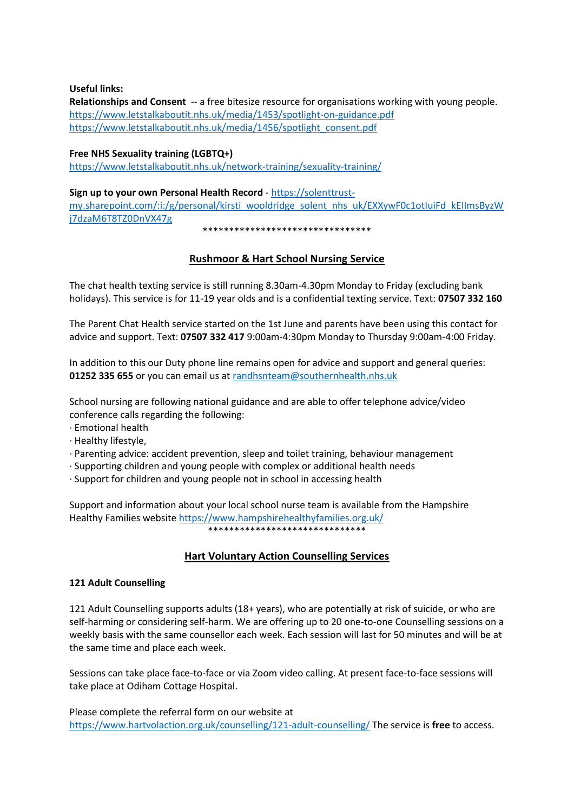**Useful links:**

**Relationships and Consent** -- a free bitesize resource for organisations working with young people. <https://www.letstalkaboutit.nhs.uk/media/1453/spotlight-on-guidance.pdf> [https://www.letstalkaboutit.nhs.uk/media/1456/spotlight\\_consent.pdf](https://www.letstalkaboutit.nhs.uk/media/1456/spotlight_consent.pdf)

# **Free NHS Sexuality training (LGBTQ+)**

<https://www.letstalkaboutit.nhs.uk/network-training/sexuality-training/>

**Sign up to your own Personal Health Record** - [https://solenttrust](https://solenttrust-my.sharepoint.com/:i:/g/personal/kirsti_wooldridge_solent_nhs_uk/EXXywF0c1otIuiFd_kEIImsByzWj7dzaM6T8TZ0DnVX47g)[my.sharepoint.com/:i:/g/personal/kirsti\\_wooldridge\\_solent\\_nhs\\_uk/EXXywF0c1otIuiFd\\_kEIImsByzW](https://solenttrust-my.sharepoint.com/:i:/g/personal/kirsti_wooldridge_solent_nhs_uk/EXXywF0c1otIuiFd_kEIImsByzWj7dzaM6T8TZ0DnVX47g) [j7dzaM6T8TZ0DnVX47g](https://solenttrust-my.sharepoint.com/:i:/g/personal/kirsti_wooldridge_solent_nhs_uk/EXXywF0c1otIuiFd_kEIImsByzWj7dzaM6T8TZ0DnVX47g)

\*\*\*\*\*\*\*\*\*\*\*\*\*\*\*\*\*\*\*\*\*\*\*\*\*\*\*\*\*\*\*\*

# **Rushmoor & Hart School Nursing Service**

The chat health texting service is still running 8.30am-4.30pm Monday to Friday (excluding bank holidays). This service is for 11-19 year olds and is a confidential texting service. Text: **07507 332 160**

The Parent Chat Health service started on the 1st June and parents have been using this contact for advice and support. Text: **07507 332 417** 9:00am-4:30pm Monday to Thursday 9:00am-4:00 Friday.

In addition to this our Duty phone line remains open for advice and support and general queries: **01252 335 655** or you can email us at [randhsnteam@southernhealth.nhs.uk](mailto:randhsnteam@southernhealth.nhs.uk)

School nursing are following national guidance and are able to offer telephone advice/video conference calls regarding the following:

- · Emotional health
- · Healthy lifestyle,
- · Parenting advice: accident prevention, sleep and toilet training, behaviour management
- · Supporting children and young people with complex or additional health needs
- · Support for children and young people not in school in accessing health

Support and information about your local school nurse team is available from the Hampshire Healthy Families websit[e https://www.hampshirehealthyfamilies.org.uk/](https://www.hampshirehealthyfamilies.org.uk/) \*\*\*\*\*\*\*\*\*\*\*\*\*\*\*\*\*\*\*\*\*\*\*\*\*\*\*\*\*\*

# **Hart Voluntary Action Counselling Services**

# **121 Adult Counselling**

121 Adult Counselling supports adults (18+ years), who are potentially at risk of suicide, or who are self-harming or considering self-harm. We are offering up to 20 one-to-one Counselling sessions on a weekly basis with the same counsellor each week. Each session will last for 50 minutes and will be at the same time and place each week.

Sessions can take place face-to-face or via Zoom video calling. At present face-to-face sessions will take place at Odiham Cottage Hospital.

Please complete the referral form on our website at <https://www.hartvolaction.org.uk/counselling/121-adult-counselling/> The service is **free** to access.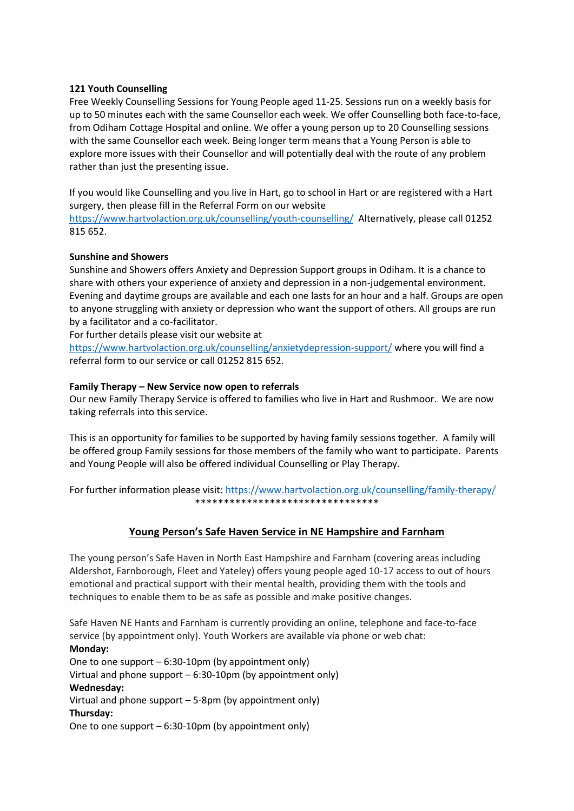# **121 Youth Counselling**

Free Weekly Counselling Sessions for Young People aged 11-25. Sessions run on a weekly basis for up to 50 minutes each with the same Counsellor each week. We offer Counselling both face-to-face, from Odiham Cottage Hospital and online. We offer a young person up to 20 Counselling sessions with the same Counsellor each week. Being longer term means that a Young Person is able to explore more issues with their Counsellor and will potentially deal with the route of any problem rather than just the presenting issue.

If you would like Counselling and you live in Hart, go to school in Hart or are registered with a Hart surgery, then please fill in the Referral Form on our website

<https://www.hartvolaction.org.uk/counselling/youth-counselling/>Alternatively, please call 01252 815 652.

# **Sunshine and Showers**

Sunshine and Showers offers Anxiety and Depression Support groups in Odiham. It is a chance to share with others your experience of anxiety and depression in a non-judgemental environment. Evening and daytime groups are available and each one lasts for an hour and a half. Groups are open to anyone struggling with anxiety or depression who want the support of others. All groups are run by a facilitator and a co-facilitator.

For further details please visit our website at

<https://www.hartvolaction.org.uk/counselling/anxietydepression-support/> where you will find a referral form to our service or call 01252 815 652.

# **Family Therapy – New Service now open to referrals**

Our new Family Therapy Service is offered to families who live in Hart and Rushmoor. We are now taking referrals into this service.

This is an opportunity for families to be supported by having family sessions together. A family will be offered group Family sessions for those members of the family who want to participate. Parents and Young People will also be offered individual Counselling or Play Therapy.

For further information please visit:<https://www.hartvolaction.org.uk/counselling/family-therapy/> \*\*\*\*\*\*\*\*\*\*\*\*\*\*\*\*\*\*\*\*\*\*\*\*\*\*\*\*\*\*\*\*

# **Young Person's Safe Haven Service in NE Hampshire and Farnham**

The young person's Safe Haven in North East Hampshire and Farnham (covering areas including Aldershot, Farnborough, Fleet and Yateley) offers young people aged 10-17 access to out of hours emotional and practical support with their mental health, providing them with the tools and techniques to enable them to be as safe as possible and make positive changes.

Safe Haven NE Hants and Farnham is currently providing an online, telephone and face-to-face service (by appointment only). Youth Workers are available via phone or web chat: **Monday:** One to one support – 6:30-10pm (by appointment only) Virtual and phone support – 6:30-10pm (by appointment only) **Wednesday:** Virtual and phone support – 5-8pm (by appointment only) **Thursday:**

One to one support – 6:30-10pm (by appointment only)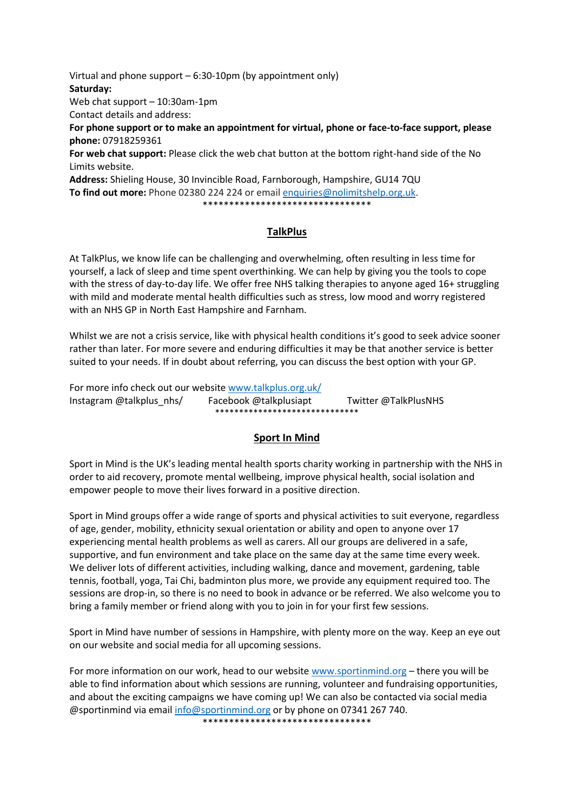Virtual and phone support – 6:30-10pm (by appointment only) **Saturday:** Web chat support – 10:30am-1pm Contact details and address: **For phone support or to make an appointment for virtual, phone or face-to-face support, please phone:** 07918259361 **For web chat support:** Please click the web chat button at the bottom right-hand side of the No Limits website. **Address:** Shieling House, 30 Invincible Road, Farnborough, Hampshire, GU14 7QU **To find out more:** Phone 02380 224 224 or email [enquiries@nolimitshelp.org.uk.](mailto:enquiries@nolimitshelp.org.uk) \*\*\*\*\*\*\*\*\*\*\*\*\*\*\*\*\*\*\*\*\*\*\*\*\*\*\*\*\*\*\*\*

# **TalkPlus**

At TalkPlus, we know life can be challenging and overwhelming, often resulting in less time for yourself, a lack of sleep and time spent overthinking. We can help by giving you the tools to cope with the stress of day-to-day life. We offer free NHS talking therapies to anyone aged 16+ struggling with mild and moderate mental health difficulties such as stress, low mood and worry registered with an NHS GP in North East Hampshire and Farnham.

Whilst we are not a crisis service, like with physical health conditions it's good to seek advice sooner rather than later. For more severe and enduring difficulties it may be that another service is better suited to your needs. If in doubt about referring, you can discuss the best option with your GP.

For more info check out our website [www.talkplus.org.uk/](https://eur02.safelinks.protection.outlook.com/?url=http%3A%2F%2Fwww.talkplus.org.uk%2F&data=04%7C01%7Cliz.glenn%40hart.gov.uk%7C5000f6419135438a4c3a08d98a695b4c%7C437487d01c5f47b6bd4ea482ae3b011e%7C0%7C1%7C637693007381045653%7CUnknown%7CTWFpbGZsb3d8eyJWIjoiMC4wLjAwMDAiLCJQIjoiV2luMzIiLCJBTiI6Ik1haWwiLCJXVCI6Mn0%3D%7C1000&sdata=8hVJrKV3EzfaS3vVk2bEtDWfcX4Ibgg8p6cc5R6%2FXbE%3D&reserved=0) Instagram @talkplus\_nhs/ Facebook @talkplusiapt Twitter @TalkPlusNHS \*\*\*\*\*\*\*\*\*\*\*\*\*\*\*\*\*\*\*\*\*\*\*\*\*\*\*\*\*\*

# **Sport In Mind**

Sport in Mind is the UK's leading mental health sports charity working in partnership with the NHS in order to aid recovery, promote mental wellbeing, improve physical health, social isolation and empower people to move their lives forward in a positive direction.

Sport in Mind groups offer a wide range of sports and physical activities to suit everyone, regardless of age, gender, mobility, ethnicity sexual orientation or ability and open to anyone over 17 experiencing mental health problems as well as carers. All our groups are delivered in a safe, supportive, and fun environment and take place on the same day at the same time every week. We deliver lots of different activities, including walking, dance and movement, gardening, table tennis, football, yoga, Tai Chi, badminton plus more, we provide any equipment required too. The sessions are drop-in, so there is no need to book in advance or be referred. We also welcome you to bring a family member or friend along with you to join in for your first few sessions.

Sport in Mind have number of sessions in Hampshire, with plenty more on the way. Keep an eye out on our website and social media for all upcoming sessions.

For more information on our work, head to our website [www.sportinmind.org](http://www.sportinmind.org/) – there you will be able to find information about which sessions are running, volunteer and fundraising opportunities, and about the exciting campaigns we have coming up! We can also be contacted via social media @sportinmind via email [info@sportinmind.org](mailto:info@sportinmind.org) or by phone on 07341 267 740. \*\*\*\*\*\*\*\*\*\*\*\*\*\*\*\*\*\*\*\*\*\*\*\*\*\*\*\*\*\*\*\*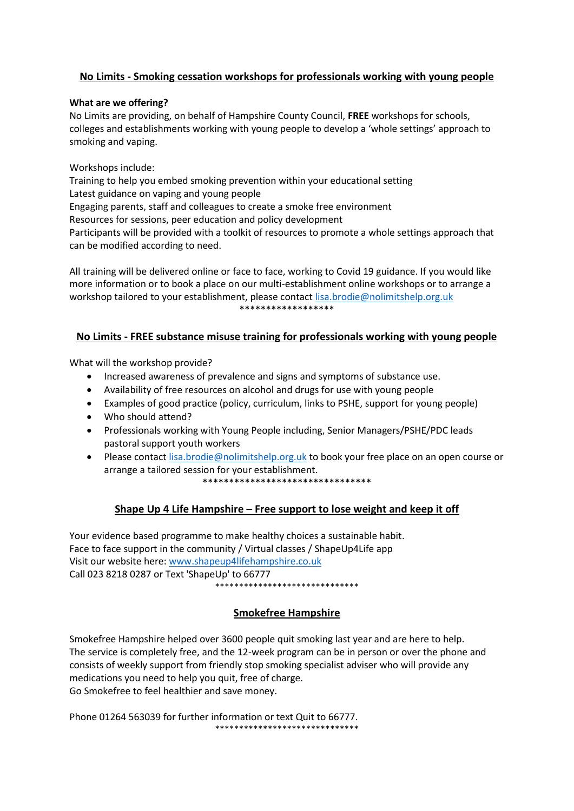# **No Limits - Smoking cessation workshops for professionals working with young people**

# **What are we offering?**

No Limits are providing, on behalf of Hampshire County Council, **FREE** workshops for schools, colleges and establishments working with young people to develop a 'whole settings' approach to smoking and vaping.

# Workshops include:

Training to help you embed smoking prevention within your educational setting Latest guidance on vaping and young people Engaging parents, staff and colleagues to create a smoke free environment Resources for sessions, peer education and policy development Participants will be provided with a toolkit of resources to promote a whole settings approach that can be modified according to need.

All training will be delivered online or face to face, working to Covid 19 guidance. If you would like more information or to book a place on our multi-establishment online workshops or to arrange a workshop tailored to your establishment, please contact [lisa.brodie@nolimitshelp.org.uk](mailto:lisa.brodie@nolimitshelp.org.uk) \*\*\*\*\*\*\*\*\*\*\*\*\*\*\*\*\*\*

# **No Limits - FREE substance misuse training for professionals working with young people**

What will the workshop provide?

- Increased awareness of prevalence and signs and symptoms of substance use.
- Availability of free resources on alcohol and drugs for use with young people
- Examples of good practice (policy, curriculum, links to PSHE, support for young people)
- Who should attend?
- Professionals working with Young People including, Senior Managers/PSHE/PDC leads pastoral support youth workers
- Please contact [lisa.brodie@nolimitshelp.org.uk](mailto:lisa.brodie@nolimitshelp.org.uk) to book your free place on an open course or arrange a tailored session for your establishment. \*\*\*\*\*\*\*\*\*\*\*\*\*\*\*\*\*\*\*\*\*\*\*\*\*\*\*\*\*\*\*\*

# **Shape Up 4 Life Hampshire – Free support to lose weight and keep it off**

Your evidence based programme to make healthy choices a sustainable habit. Face to face support in the community / Virtual classes / ShapeUp4Life app Visit our website here: [www.shapeup4lifehampshire.co.uk](http://www.shapeup4lifehampshire.co.uk/)  Call 023 8218 0287 or Text 'ShapeUp' to 66777 \*\*\*\*\*\*\*\*\*\*\*\*\*\*\*\*\*\*\*\*\*\*\*\*\*\*\*\*\*\*

# **Smokefree Hampshire**

Smokefree Hampshire helped over 3600 people quit smoking last year and are here to help. The service is completely free, and the 12-week program can be in person or over the phone and consists of weekly support from friendly stop smoking specialist adviser who will provide any medications you need to help you quit, free of charge. Go Smokefree to feel healthier and save money.

Phone 01264 563039 for further information or text Quit to 66777. \*\*\*\*\*\*\*\*\*\*\*\*\*\*\*\*\*\*\*\*\*\*\*\*\*\*\*\*\*\*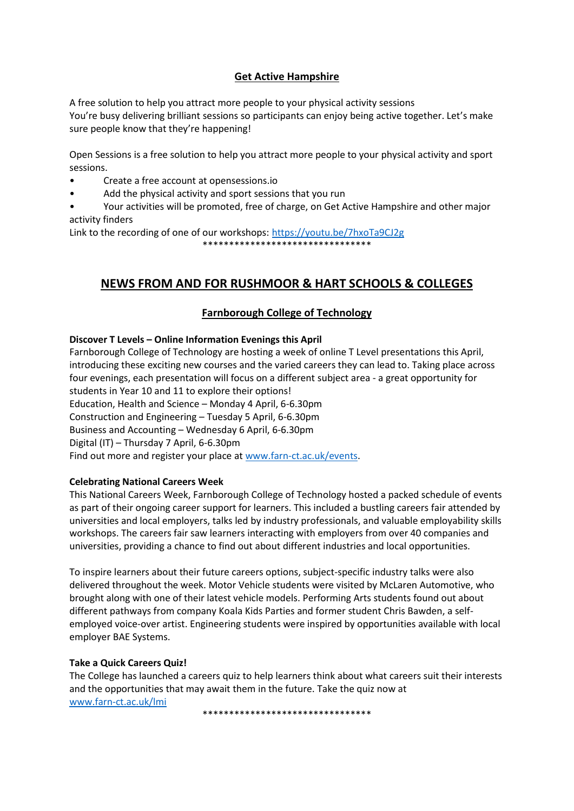# **Get Active Hampshire**

A free solution to help you attract more people to your physical activity sessions You're busy delivering brilliant sessions so participants can enjoy being active together. Let's make sure people know that they're happening!

Open Sessions is a free solution to help you attract more people to your physical activity and sport sessions.

- Create a free account at opensessions.io
- Add the physical activity and sport sessions that you run
- Your activities will be promoted, free of charge, on Get Active Hampshire and other major activity finders

Link to the recording of one of our workshops:<https://youtu.be/7hxoTa9CJ2g> \*\*\*\*\*\*\*\*\*\*\*\*\*\*\*\*\*\*\*\*\*\*\*\*\*\*\*\*\*\*\*\*

# **NEWS FROM AND FOR RUSHMOOR & HART SCHOOLS & COLLEGES**

# **Farnborough College of Technology**

# **Discover T Levels – Online Information Evenings this April**

Farnborough College of Technology are hosting a week of online T Level presentations this April, introducing these exciting new courses and the varied careers they can lead to. Taking place across four evenings, each presentation will focus on a different subject area - a great opportunity for students in Year 10 and 11 to explore their options! Education, Health and Science – Monday 4 April, 6-6.30pm Construction and Engineering – Tuesday 5 April, 6-6.30pm Business and Accounting – Wednesday 6 April, 6-6.30pm Digital (IT) – Thursday 7 April, 6-6.30pm Find out more and register your place a[t www.farn-ct.ac.uk/events.](http://www.farn-ct.ac.uk/events)

# **Celebrating National Careers Week**

This National Careers Week, Farnborough College of Technology hosted a packed schedule of events as part of their ongoing career support for learners. This included a bustling careers fair attended by universities and local employers, talks led by industry professionals, and valuable employability skills workshops. The careers fair saw learners interacting with employers from over 40 companies and universities, providing a chance to find out about different industries and local opportunities.

To inspire learners about their future careers options, subject-specific industry talks were also delivered throughout the week. Motor Vehicle students were visited by McLaren Automotive, who brought along with one of their latest vehicle models. Performing Arts students found out about different pathways from company Koala Kids Parties and former student Chris Bawden, a selfemployed voice-over artist. Engineering students were inspired by opportunities available with local employer BAE Systems.

# **Take a Quick Careers Quiz!**

The College has launched a careers quiz to help learners think about what careers suit their interests and the opportunities that may await them in the future. Take the quiz now at [www.farn-ct.ac.uk/lmi](http://www.farn-ct.ac.uk/lmi)

\*\*\*\*\*\*\*\*\*\*\*\*\*\*\*\*\*\*\*\*\*\*\*\*\*\*\*\*\*\*\*\*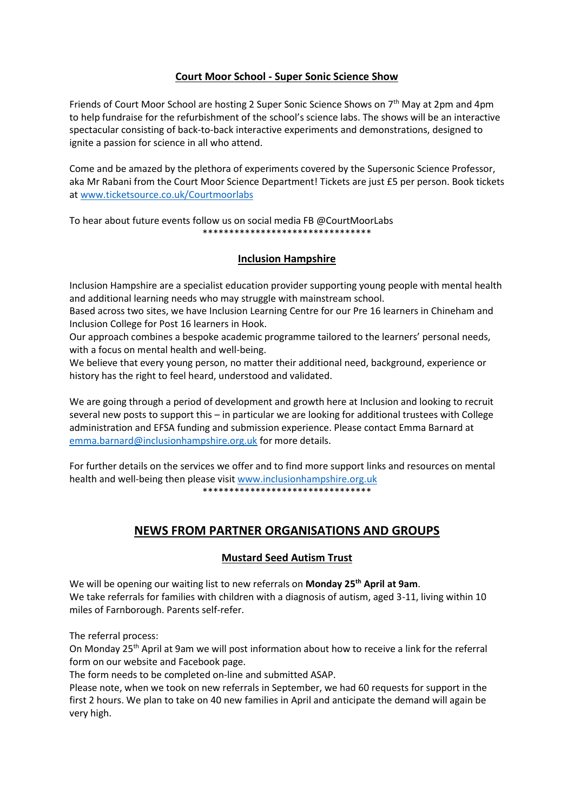# **Court Moor School - Super Sonic Science Show**

Friends of Court Moor School are hosting 2 Super Sonic Science Shows on 7<sup>th</sup> May at 2pm and 4pm to help fundraise for the refurbishment of the school's science labs. The shows will be an interactive spectacular consisting of back-to-back interactive experiments and demonstrations, designed to ignite a passion for science in all who attend.

Come and be amazed by the plethora of experiments covered by the Supersonic Science Professor, aka Mr Rabani from the Court Moor Science Department! Tickets are just £5 per person. Book tickets a[t www.ticketsource.co.uk/Courtmoorlabs](http://www.ticketsource.co.uk/Courtmoorlabs)

To hear about future events follow us on social media FB @CourtMoorLabs \*\*\*\*\*\*\*\*\*\*\*\*\*\*\*\*\*\*\*\*\*\*\*\*\*\*\*\*\*\*\*\*

# **Inclusion Hampshire**

Inclusion Hampshire are a specialist education provider supporting young people with mental health and additional learning needs who may struggle with mainstream school.

Based across two sites, we have Inclusion Learning Centre for our Pre 16 learners in Chineham and Inclusion College for Post 16 learners in Hook.

Our approach combines a bespoke academic programme tailored to the learners' personal needs, with a focus on mental health and well-being.

We believe that every young person, no matter their additional need, background, experience or history has the right to feel heard, understood and validated.

We are going through a period of development and growth here at Inclusion and looking to recruit several new posts to support this – in particular we are looking for additional trustees with College administration and EFSA funding and submission experience. Please contact Emma Barnard at [emma.barnard@inclusionhampshire.org.uk](mailto:emma.barnard@inclusionhampshire.org.uk) for more details.

For further details on the services we offer and to find more support links and resources on mental health and well-being then please visit [www.inclusionhampshire.org.uk](http://www.inclusionhampshire.org.uk/) \*\*\*\*\*\*\*\*\*\*\*\*\*\*\*\*\*\*\*\*\*\*\*\*\*\*\*\*\*\*\*\*

# **NEWS FROM PARTNER ORGANISATIONS AND GROUPS**

# **Mustard Seed Autism Trust**

We will be opening our waiting list to new referrals on **Monday 25th April at 9am**. We take referrals for families with children with a diagnosis of autism, aged 3-11, living within 10 miles of Farnborough. Parents self-refer.

The referral process:

On Monday 25th April at 9am we will post information about how to receive a link for the referral form on our website and Facebook page.

The form needs to be completed on-line and submitted ASAP.

Please note, when we took on new referrals in September, we had 60 requests for support in the first 2 hours. We plan to take on 40 new families in April and anticipate the demand will again be very high.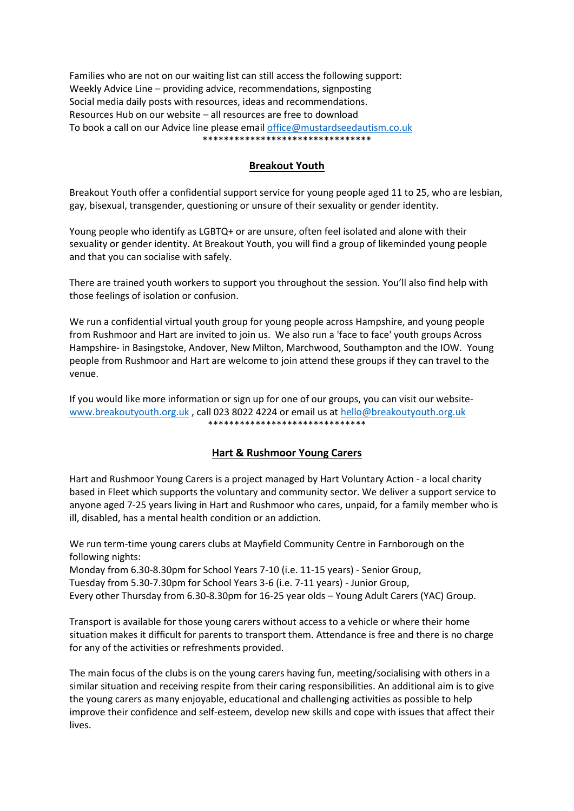Families who are not on our waiting list can still access the following support: Weekly Advice Line – providing advice, recommendations, signposting Social media daily posts with resources, ideas and recommendations. Resources Hub on our website – all resources are free to download To book a call on our Advice line please email [office@mustardseedautism.co.uk](mailto:office@mustardseedautsim.co.uk) \*\*\*\*\*\*\*\*\*\*\*\*\*\*\*\*\*\*\*\*\*\*\*\*\*\*\*\*\*\*\*\*

# **Breakout Youth**

Breakout Youth offer a confidential support service for young people aged 11 to 25, who are lesbian, gay, bisexual, transgender, questioning or unsure of their sexuality or gender identity.

Young people who identify as LGBTQ+ or are unsure, often feel isolated and alone with their sexuality or gender identity. At Breakout Youth, you will find a group of likeminded young people and that you can socialise with safely.

There are trained youth workers to support you throughout the session. You'll also find help with those feelings of isolation or confusion.

We run a confidential virtual youth group for young people across Hampshire, and young people from Rushmoor and Hart are invited to join us. We also run a 'face to face' youth groups Across Hampshire- in Basingstoke, Andover, New Milton, Marchwood, Southampton and the IOW. Young people from Rushmoor and Hart are welcome to join attend these groups if they can travel to the venue.

If you would like more information or sign up for one of our groups, you can visit our website[www.breakoutyouth.org.uk](http://www.breakoutyouth.org.uk/), call 023 8022 4224 or email us at hello@breakoutyouth.org.uk \*\*\*\*\*\*\*\*\*\*\*\*\*\*\*\*\*\*\*\*\*\*\*\*\*\*\*\*\*\*

# **Hart & Rushmoor Young Carers**

Hart and Rushmoor Young Carers is a project managed by Hart Voluntary Action - a local charity based in Fleet which supports the voluntary and community sector. We deliver a support service to anyone aged 7-25 years living in Hart and Rushmoor who cares, unpaid, for a family member who is ill, disabled, has a mental health condition or an addiction.

We run term-time young carers clubs at Mayfield Community Centre in Farnborough on the following nights:

Monday from 6.30-8.30pm for School Years 7-10 (i.e. 11-15 years) - Senior Group, Tuesday from 5.30-7.30pm for School Years 3-6 (i.e. 7-11 years) - Junior Group, Every other Thursday from 6.30-8.30pm for 16-25 year olds – Young Adult Carers (YAC) Group.

Transport is available for those young carers without access to a vehicle or where their home situation makes it difficult for parents to transport them. Attendance is free and there is no charge for any of the activities or refreshments provided.

The main focus of the clubs is on the young carers having fun, meeting/socialising with others in a similar situation and receiving respite from their caring responsibilities. An additional aim is to give the young carers as many enjoyable, educational and challenging activities as possible to help improve their confidence and self-esteem, develop new skills and cope with issues that affect their lives.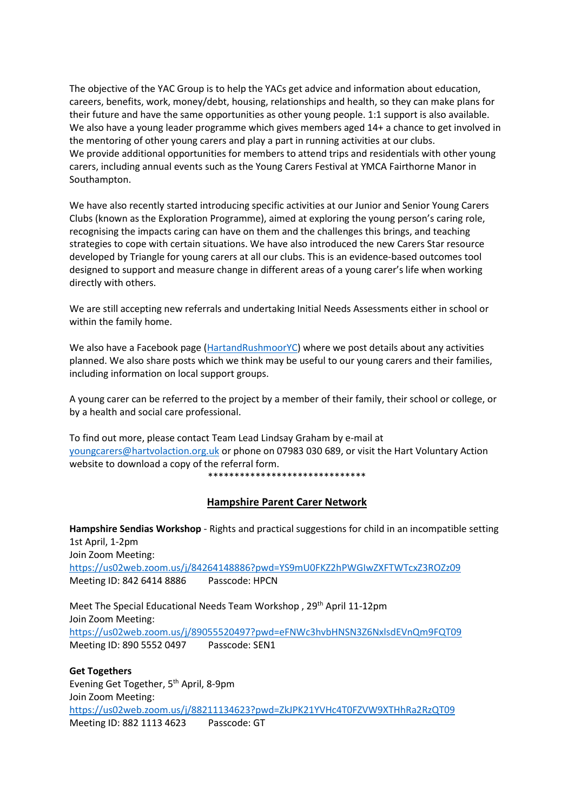The objective of the YAC Group is to help the YACs get advice and information about education, careers, benefits, work, money/debt, housing, relationships and health, so they can make plans for their future and have the same opportunities as other young people. 1:1 support is also available. We also have a young leader programme which gives members aged 14+ a chance to get involved in the mentoring of other young carers and play a part in running activities at our clubs. We provide additional opportunities for members to attend trips and residentials with other young carers, including annual events such as the Young Carers Festival at YMCA Fairthorne Manor in Southampton.

We have also recently started introducing specific activities at our Junior and Senior Young Carers Clubs (known as the Exploration Programme), aimed at exploring the young person's caring role, recognising the impacts caring can have on them and the challenges this brings, and teaching strategies to cope with certain situations. We have also introduced the new Carers Star resource developed by Triangle for young carers at all our clubs. This is an evidence-based outcomes tool designed to support and measure change in different areas of a young carer's life when working directly with others.

We are still accepting new referrals and undertaking Initial Needs Assessments either in school or within the family home.

We also have a Facebook page [\(HartandRushmoorYC\)](https://www.facebook.com/HartandRushmoorYC/) where we post details about any activities planned. We also share posts which we think may be useful to our young carers and their families, including information on local support groups.

A young carer can be referred to the project by a member of their family, their school or college, or by a health and social care professional.

To find out more, please contact Team Lead Lindsay Graham by e-mail at [youngcarers@hartvolaction.org.uk](mailto:youngcarers@hartvolaction.org.uk) or phone on 07983 030 689, or visit the Hart Voluntary Action website to download a copy of the referral form.

\*\*\*\*\*\*\*\*\*\*\*\*\*\*\*\*\*\*\*\*\*\*\*\*\*\*\*\*\*\*

# **Hampshire Parent Carer Network**

**Hampshire Sendias Workshop** - Rights and practical suggestions for child in an incompatible setting 1st April, 1-2pm Join Zoom Meeting: <https://us02web.zoom.us/j/84264148886?pwd=YS9mU0FKZ2hPWGIwZXFTWTcxZ3ROZz09> Meeting ID: 842 6414 8886 Passcode: HPCN

Meet The Special Educational Needs Team Workshop , 29<sup>th</sup> April 11-12pm Join Zoom Meeting: [https://us02web.zoom.us/j/89055520497?pwd=eFNWc3hvbHNSN3Z6NxlsdEVnQm9FQT09](https://us02web.zoom.us/j/89055520497?pwd=eFNWc3hvbHNSN3Z6NXlsdEVnQm9FQT09) Meeting ID: 890 5552 0497 Passcode: SEN1

**Get Togethers**  Evening Get Together, 5<sup>th</sup> April, 8-9pm Join Zoom Meeting: <https://us02web.zoom.us/j/88211134623?pwd=ZkJPK21YVHc4T0FZVW9XTHhRa2RzQT09> Meeting ID: 882 1113 4623 Passcode: GT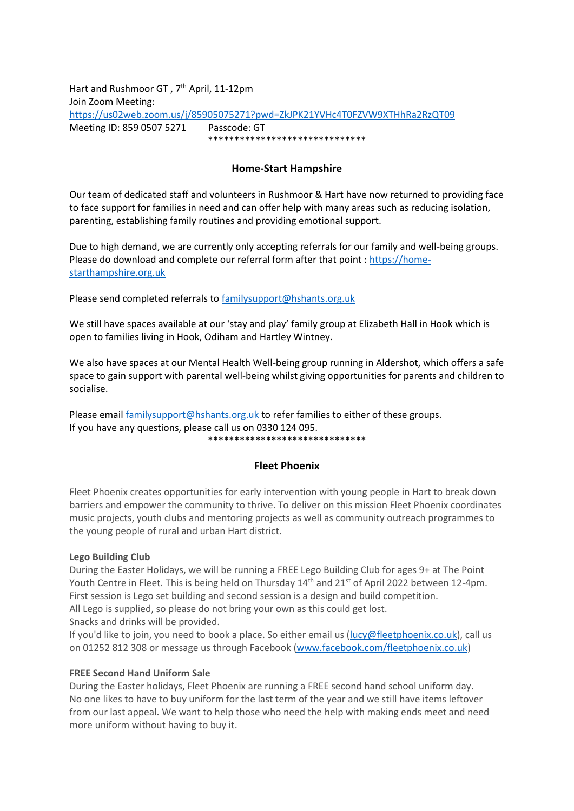Hart and Rushmoor GT, 7<sup>th</sup> April, 11-12pm Join Zoom Meeting: <https://us02web.zoom.us/j/85905075271?pwd=ZkJPK21YVHc4T0FZVW9XTHhRa2RzQT09> Meeting ID: 859 0507 5271 Passcode: GT \*\*\*\*\*\*\*\*\*\*\*\*\*\*\*\*\*\*\*\*\*\*\*\*\*\*\*\*\*\*

# **Home-Start Hampshire**

Our team of dedicated staff and volunteers in Rushmoor & Hart have now returned to providing face to face support for families in need and can offer help with many areas such as reducing isolation, parenting, establishing family routines and providing emotional support.

Due to high demand, we are currently only accepting referrals for our family and well-being groups. Please do download and complete our referral form after that point : [https://home](https://home-starthampshire.org.uk/)[starthampshire.org.uk](https://home-starthampshire.org.uk/)

Please send completed referrals to [familysupport@hshants.org.uk](mailto:familysupport@hshants.org.uk)

We still have spaces available at our 'stay and play' family group at Elizabeth Hall in Hook which is open to families living in Hook, Odiham and Hartley Wintney.

We also have spaces at our Mental Health Well-being group running in Aldershot, which offers a safe space to gain support with parental well-being whilst giving opportunities for parents and children to socialise.

Please email [familysupport@hshants.org.uk](mailto:familysupport@hshants.org.uk) to refer families to either of these groups. If you have any questions, please call us on 0330 124 095. \*\*\*\*\*\*\*\*\*\*\*\*\*\*\*\*\*\*\*\*\*\*\*\*\*\*\*\*\*\*

# **Fleet Phoenix**

Fleet Phoenix creates opportunities for early intervention with young people in Hart to break down barriers and empower the community to thrive. To deliver on this mission Fleet Phoenix coordinates music projects, youth clubs and mentoring projects as well as community outreach programmes to the young people of rural and urban Hart district.

# **Lego Building Club**

During the Easter Holidays, we will be running a FREE Lego Building Club for ages 9+ at The Point Youth Centre in Fleet. This is being held on Thursday 14<sup>th</sup> and 21<sup>st</sup> of April 2022 between 12-4pm. First session is Lego set building and second session is a design and build competition. All Lego is supplied, so please do not bring your own as this could get lost.

Snacks and drinks will be provided.

If you'd like to join, you need to book a place. So either email us [\(lucy@fleetphoenix.co.uk\)](mailto:lucy@fleetphoenix.co.uk), call us on 01252 812 308 or message us through Facebook (www.facebook.com/fleetphoenix.co.uk)

# **FREE Second Hand Uniform Sale**

During the Easter holidays, Fleet Phoenix are running a FREE second hand school uniform day. No one likes to have to buy uniform for the last term of the year and we still have items leftover from our last appeal. We want to help those who need the help with making ends meet and need more uniform without having to buy it.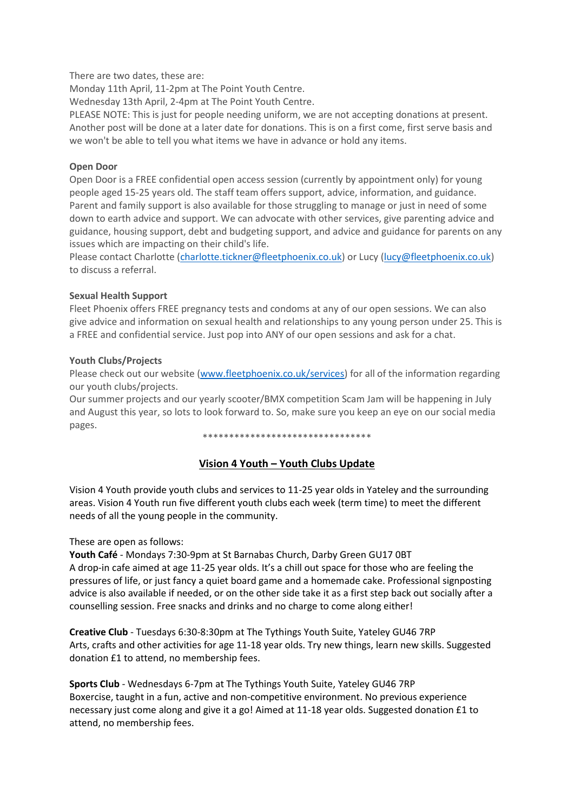There are two dates, these are:

Monday 11th April, 11-2pm at The Point Youth Centre.

Wednesday 13th April, 2-4pm at The Point Youth Centre.

PLEASE NOTE: This is just for people needing uniform, we are not accepting donations at present. Another post will be done at a later date for donations. This is on a first come, first serve basis and we won't be able to tell you what items we have in advance or hold any items.

# **Open Door**

Open Door is a FREE confidential open access session (currently by appointment only) for young people aged 15-25 years old. The staff team offers support, advice, information, and guidance. Parent and family support is also available for those struggling to manage or just in need of some down to earth advice and support. We can advocate with other services, give parenting advice and guidance, housing support, debt and budgeting support, and advice and guidance for parents on any issues which are impacting on their child's life.

Please contact Charlotte [\(charlotte.tickner@fleetphoenix.co.uk\)](mailto:charlotte.tickner@fleetphoenix.co.uk) or Lucy [\(lucy@fleetphoenix.co.uk\)](mailto:lucy@fleetphoenix.co.uk) to discuss a referral.

# **Sexual Health Support**

Fleet Phoenix offers FREE pregnancy tests and condoms at any of our open sessions. We can also give advice and information on sexual health and relationships to any young person under 25. This is a FREE and confidential service. Just pop into ANY of our open sessions and ask for a chat.

# **Youth Clubs/Projects**

Please check out our website [\(www.fleetphoenix.co.uk/services\)](http://www.fleetphoenix.co.uk/services) for all of the information regarding our youth clubs/projects.

Our summer projects and our yearly scooter/BMX competition Scam Jam will be happening in July and August this year, so lots to look forward to. So, make sure you keep an eye on our social media pages.

\*\*\*\*\*\*\*\*\*\*\*\*\*\*\*\*\*\*\*\*\*\*\*\*\*\*\*\*\*\*\*\*

# **Vision 4 Youth – Youth Clubs Update**

Vision 4 Youth provide youth clubs and services to 11-25 year olds in Yateley and the surrounding areas. Vision 4 Youth run five different youth clubs each week (term time) to meet the different needs of all the young people in the community.

These are open as follows:

**Youth Café** - Mondays 7:30-9pm at St Barnabas Church, Darby Green GU17 0BT A drop-in cafe aimed at age 11-25 year olds. It's a chill out space for those who are feeling the pressures of life, or just fancy a quiet board game and a homemade cake. Professional signposting advice is also available if needed, or on the other side take it as a first step back out socially after a counselling session. Free snacks and drinks and no charge to come along either!

**Creative Club** - Tuesdays 6:30-8:30pm at The Tythings Youth Suite, Yateley GU46 7RP Arts, crafts and other activities for age 11-18 year olds. Try new things, learn new skills. Suggested donation £1 to attend, no membership fees.

**Sports Club** - Wednesdays 6-7pm at The Tythings Youth Suite, Yateley GU46 7RP Boxercise, taught in a fun, active and non-competitive environment. No previous experience necessary just come along and give it a go! Aimed at 11-18 year olds. Suggested donation £1 to attend, no membership fees.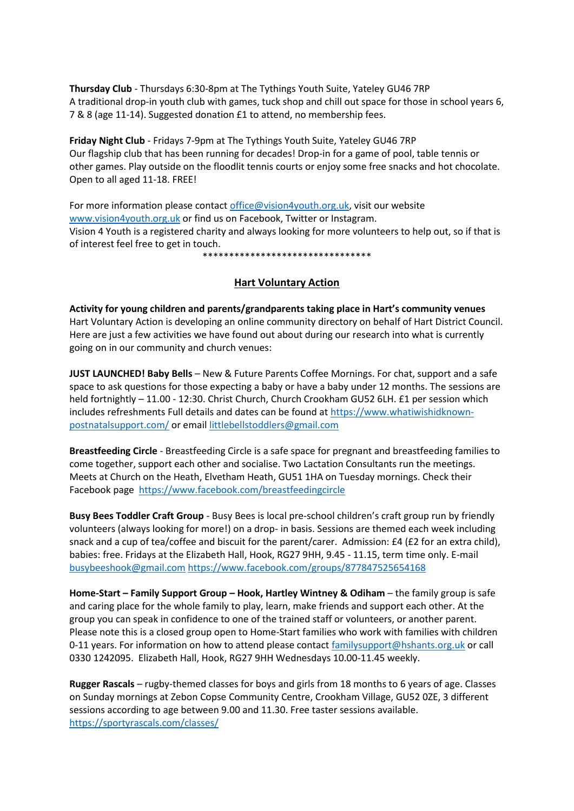**Thursday Club** - Thursdays 6:30-8pm at The Tythings Youth Suite, Yateley GU46 7RP A traditional drop-in youth club with games, tuck shop and chill out space for those in school years 6, 7 & 8 (age 11-14). Suggested donation £1 to attend, no membership fees.

**Friday Night Club** - Fridays 7-9pm at The Tythings Youth Suite, Yateley GU46 7RP Our flagship club that has been running for decades! Drop-in for a game of pool, table tennis or other games. Play outside on the floodlit tennis courts or enjoy some free snacks and hot chocolate. Open to all aged 11-18. FREE!

For more information please contac[t office@vision4youth.org.uk,](mailto:office@vision4youth.org.uk) visit our website [www.vision4youth.org.uk](http://www.vision4youth.org.uk/) or find us on Facebook, Twitter or Instagram. Vision 4 Youth is a registered charity and always looking for more volunteers to help out, so if that is of interest feel free to get in touch.

\*\*\*\*\*\*\*\*\*\*\*\*\*\*\*\*\*\*\*\*\*\*\*\*\*\*\*\*\*\*\*\*

# **Hart Voluntary Action**

**Activity for young children and parents/grandparents taking place in Hart's community venues** Hart Voluntary Action is developing an online community directory on behalf of Hart District Council. Here are just a few activities we have found out about during our research into what is currently going on in our community and church venues:

**JUST LAUNCHED! Baby Bells** – New & Future Parents Coffee Mornings. For chat, support and a safe space to ask questions for those expecting a baby or have a baby under 12 months. The sessions are held fortnightly – 11.00 - 12:30. Christ Church, Church Crookham GU52 6LH. £1 per session which includes refreshments Full details and dates can be found at [https://www.whatiwishidknown](https://www.whatiwishidknown-postnatalsupport.com/)[postnatalsupport.com/](https://www.whatiwishidknown-postnatalsupport.com/) or email [littlebellstoddlers@gmail.com](mailto:littlebellstoddlers@gmail.com)

**Breastfeeding Circle** - Breastfeeding Circle is a safe space for pregnant and breastfeeding families to come together, support each other and socialise. Two Lactation Consultants run the meetings. Meets at Church on the Heath, Elvetham Heath, GU51 1HA on Tuesday mornings. Check their Facebook page <https://www.facebook.com/breastfeedingcircle>

**Busy Bees Toddler Craft Group** - Busy Bees is local pre-school children's craft group run by friendly volunteers (always looking for more!) on a drop- in basis. Sessions are themed each week including snack and a cup of tea/coffee and biscuit for the parent/carer. Admission: £4 (£2 for an extra child), babies: free. Fridays at the Elizabeth Hall, Hook, RG27 9HH, 9.45 - 11.15, term time only. E-mail [busybeeshook@gmail.com](mailto:busybeeshook@gmail.com) <https://www.facebook.com/groups/877847525654168>

**Home-Start – Family Support Group – Hook, Hartley Wintney & Odiham** – the family group is safe and caring place for the whole family to play, learn, make friends and support each other. At the group you can speak in confidence to one of the trained staff or volunteers, or another parent. Please note this is a closed group open to Home-Start families who work with families with children 0-11 years. For information on how to attend please contact [familysupport@hshants.org.uk](mailto:familysupport@hshants.org.uk) or call 0330 1242095. Elizabeth Hall, Hook, RG27 9HH Wednesdays 10.00-11.45 weekly.

**Rugger Rascals** – rugby-themed classes for boys and girls from 18 months to 6 years of age. Classes on Sunday mornings at Zebon Copse Community Centre, Crookham Village, GU52 0ZE, 3 different sessions according to age between 9.00 and 11.30. Free taster sessions available. <https://sportyrascals.com/classes/>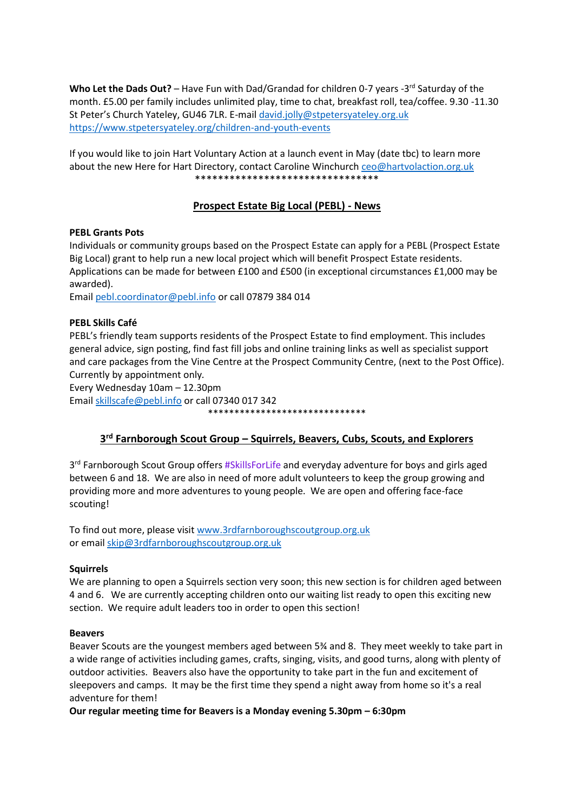Who Let the Dads Out? - Have Fun with Dad/Grandad for children 0-7 years -3<sup>rd</sup> Saturday of the month. £5.00 per family includes unlimited play, time to chat, breakfast roll, tea/coffee. 9.30 -11.30 St Peter's Church Yateley, GU46 7LR. E-mai[l david.jolly@stpetersyateley.org.uk](mailto:david.jolly@stpetersyateley.org.uk) <https://www.stpetersyateley.org/children-and-youth-events>

If you would like to join Hart Voluntary Action at a launch event in May (date tbc) to learn more about the new Here for Hart Directory, contact Caroline Winchurch [ceo@hartvolaction.org.uk](mailto:ceo@hartvolaction.org.uk) \*\*\*\*\*\*\*\*\*\*\*\*\*\*\*\*\*\*\*\*\*\*\*\*\*\*\*\*\*\*\*\*

# **Prospect Estate Big Local (PEBL) - News**

# **PEBL Grants Pots**

Individuals or community groups based on the Prospect Estate can apply for a PEBL (Prospect Estate Big Local) grant to help run a new local project which will benefit Prospect Estate residents. Applications can be made for between £100 and £500 (in exceptional circumstances £1,000 may be awarded).

Email [pebl.coordinator@pebl.info](mailto:pebl.coordinator@pebl.infom) or call 07879 384 014

# **PEBL Skills Café**

PEBL's friendly team supports residents of the Prospect Estate to find employment. This includes general advice, sign posting, find fast fill jobs and online training links as well as specialist support and care packages from the Vine Centre at the Prospect Community Centre, (next to the Post Office). Currently by appointment only*.* 

Every Wednesday 10am – 12.30pm

Email [skillscafe@pebl.info](mailto:skillscafe@pebl.info) or call 07340 017 342 \*\*\*\*\*\*\*\*\*\*\*\*\*\*\*\*\*\*\*\*\*\*\*\*\*\*\*\*\*\*

# **3 rd Farnborough Scout Group – Squirrels, Beavers, Cubs, Scouts, and Explorers**

3<sup>rd</sup> Farnborough Scout Group offers #SkillsForLife and everyday adventure for boys and girls aged between 6 and 18. We are also in need of more adult volunteers to keep the group growing and providing more and more adventures to young people. We are open and offering face-face scouting!

To find out more, please visit [www.3rdfarnboroughscoutgroup.org.uk](http://www.3rdfarnboroughscoutgroup.org.uk/) or email [skip@3rdfarnboroughscoutgroup.org.uk](mailto:skip@3rdfarnboroughscoutgroup.org.uk)

# **Squirrels**

We are planning to open a Squirrels section very soon; this new section is for children aged between 4 and 6. We are currently accepting children onto our waiting list ready to open this exciting new section. We require adult leaders too in order to open this section!

# **Beavers**

Beaver Scouts are the youngest members aged between 5¾ and 8. They meet weekly to take part in a wide range of activities including games, crafts, singing, visits, and good turns, along with plenty of outdoor activities. Beavers also have the opportunity to take part in the fun and excitement of sleepovers and camps. It may be the first time they spend a night away from home so it's a real adventure for them!

**Our regular meeting time for Beavers is a Monday evening 5.30pm – 6:30pm**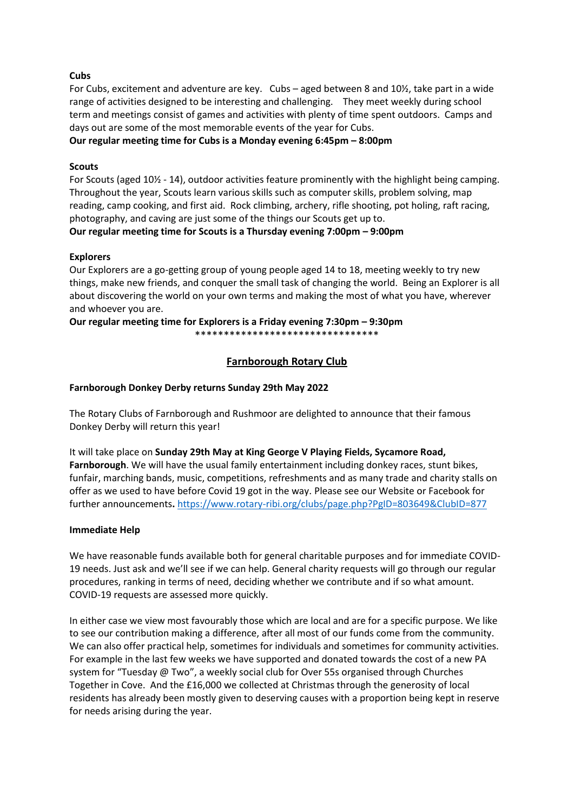# **Cubs**

For Cubs, excitement and adventure are key. Cubs – aged between 8 and 10½, take part in a wide range of activities designed to be interesting and challenging. They meet weekly during school term and meetings consist of games and activities with plenty of time spent outdoors. Camps and days out are some of the most memorable events of the year for Cubs.

# **Our regular meeting time for Cubs is a Monday evening 6:45pm – 8:00pm**

# **Scouts**

For Scouts (aged 10½ - 14), outdoor activities feature prominently with the highlight being camping. Throughout the year, Scouts learn various skills such as computer skills, problem solving, map reading, camp cooking, and first aid. Rock climbing, archery, rifle shooting, pot holing, raft racing, photography, and caving are just some of the things our Scouts get up to. **Our regular meeting time for Scouts is a Thursday evening 7:00pm – 9:00pm**

# **Explorers**

Our Explorers are a go-getting group of young people aged 14 to 18, meeting weekly to try new things, make new friends, and conquer the small task of changing the world. Being an Explorer is all about discovering the world on your own terms and making the most of what you have, wherever and whoever you are.

#### **Our regular meeting time for Explorers is a Friday evening 7:30pm – 9:30pm** \*\*\*\*\*\*\*\*\*\*\*\*\*\*\*\*\*\*\*\*\*\*\*\*\*\*\*\*\*\*\*\*

# **Farnborough Rotary Club**

# **Farnborough Donkey Derby returns Sunday 29th May 2022**

The Rotary Clubs of Farnborough and Rushmoor are delighted to announce that their famous Donkey Derby will return this year!

It will take place on **Sunday 29th May at King George V Playing Fields, Sycamore Road, Farnborough**. We will have the usual family entertainment including donkey races, stunt bikes, funfair, marching bands, music, competitions, refreshments and as many trade and charity stalls on offer as we used to have before Covid 19 got in the way. Please see our Website or Facebook for further announcements**.** <https://www.rotary-ribi.org/clubs/page.php?PgID=803649&ClubID=877>

# **Immediate Help**

We have reasonable funds available both for general charitable purposes and for immediate COVID-19 needs. Just ask and we'll see if we can help. General charity requests will go through our regular procedures, ranking in terms of need, deciding whether we contribute and if so what amount. COVID-19 requests are assessed more quickly.

In either case we view most favourably those which are local and are for a specific purpose. We like to see our contribution making a difference, after all most of our funds come from the community. We can also offer practical help, sometimes for individuals and sometimes for community activities. For example in the last few weeks we have supported and donated towards the cost of a new PA system for "Tuesday @ Two", a weekly social club for Over 55s organised through Churches Together in Cove. And the £16,000 we collected at Christmas through the generosity of local residents has already been mostly given to deserving causes with a proportion being kept in reserve for needs arising during the year.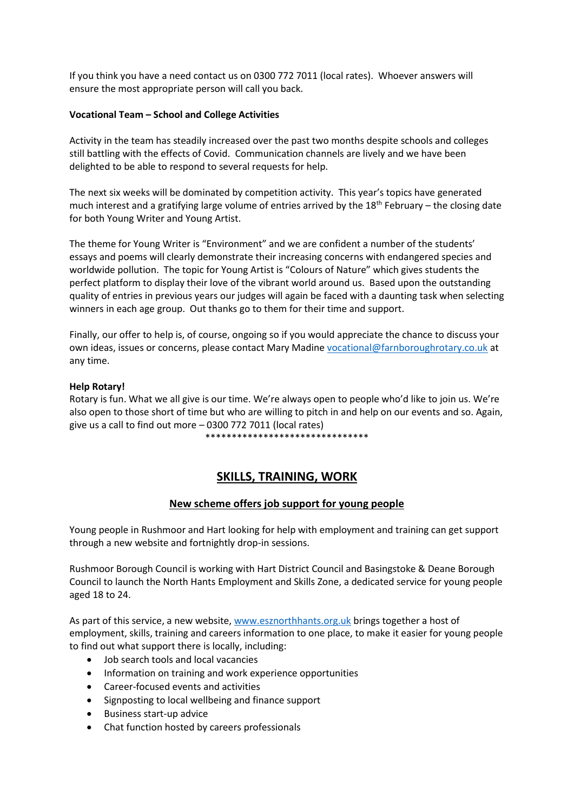If you think you have a need contact us on 0300 772 7011 (local rates). Whoever answers will ensure the most appropriate person will call you back.

# **Vocational Team – School and College Activities**

Activity in the team has steadily increased over the past two months despite schools and colleges still battling with the effects of Covid. Communication channels are lively and we have been delighted to be able to respond to several requests for help.

The next six weeks will be dominated by competition activity. This year's topics have generated much interest and a gratifying large volume of entries arrived by the  $18<sup>th</sup>$  February – the closing date for both Young Writer and Young Artist.

The theme for Young Writer is "Environment" and we are confident a number of the students' essays and poems will clearly demonstrate their increasing concerns with endangered species and worldwide pollution. The topic for Young Artist is "Colours of Nature" which gives students the perfect platform to display their love of the vibrant world around us. Based upon the outstanding quality of entries in previous years our judges will again be faced with a daunting task when selecting winners in each age group. Out thanks go to them for their time and support.

Finally, our offer to help is, of course, ongoing so if you would appreciate the chance to discuss your own ideas, issues or concerns, please contact Mary Madine [vocational@farnboroughrotary.co.uk](mailto:vocational@farnboroughrotary.co.uk) at any time.

#### **Help Rotary!**

Rotary is fun. What we all give is our time. We're always open to people who'd like to join us. We're also open to those short of time but who are willing to pitch in and help on our events and so. Again, give us a call to find out more – 0300 772 7011 (local rates)

\*\*\*\*\*\*\*\*\*\*\*\*\*\*\*\*\*\*\*\*\*\*\*\*\*\*\*\*\*\*\*

# **SKILLS, TRAINING, WORK**

# **New scheme offers job support for young people**

Young people in Rushmoor and Hart looking for help with employment and training can get support through a new website and fortnightly drop-in sessions.

Rushmoor Borough Council is working with Hart District Council and Basingstoke & Deane Borough Council to launch the North Hants Employment and Skills Zone, a dedicated service for young people aged 18 to 24.

As part of this service, a new website, [www.esznorthhants.org.uk](http://www.esznorthhants.org.uk/) brings together a host of employment, skills, training and careers information to one place, to make it easier for young people to find out what support there is locally, including:

- Job search tools and local vacancies
- Information on training and work experience opportunities
- Career-focused events and activities
- Signposting to local wellbeing and finance support
- Business start-up advice
- Chat function hosted by careers professionals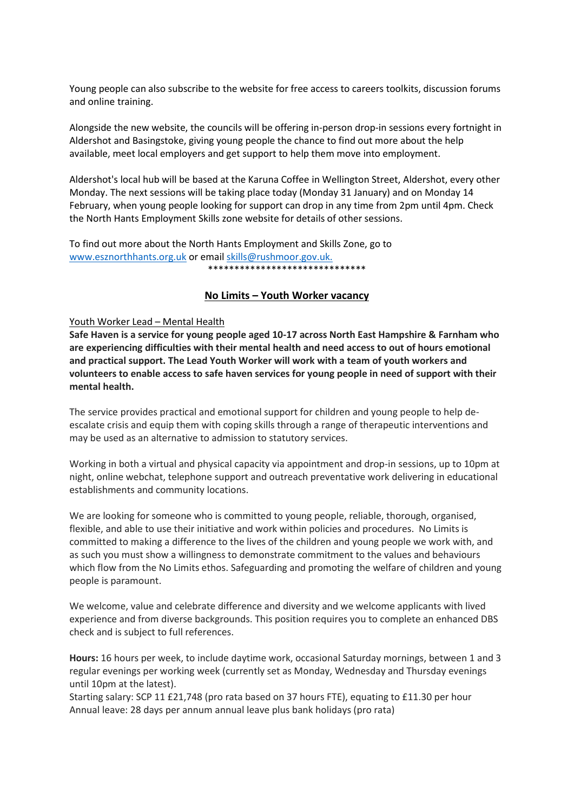Young people can also subscribe to the website for free access to careers toolkits, discussion forums and online training.

Alongside the new website, the councils will be offering in-person drop-in sessions every fortnight in Aldershot and Basingstoke, giving young people the chance to find out more about the help available, meet local employers and get support to help them move into employment.

Aldershot's local hub will be based at the Karuna Coffee in Wellington Street, Aldershot, every other Monday. The next sessions will be taking place today (Monday 31 January) and on Monday 14 February, when young people looking for support can drop in any time from 2pm until 4pm. Check the North Hants Employment Skills zone website for details of other sessions.

To find out more about the North Hants Employment and Skills Zone, go to [www.esznorthhants.org.uk](http://www.esznorthhants.org.uk/) or email [skills@rushmoor.gov.uk.](mailto:skills@rushmoor.gov.uk) \*\*\*\*\*\*\*\*\*\*\*\*\*\*\*\*\*\*\*\*\*\*\*\*\*\*\*\*\*\*

# **No Limits – Youth Worker vacancy**

#### Youth Worker Lead – Mental Health

**Safe Haven is a service for young people aged 10-17 across North East Hampshire & Farnham who are experiencing difficulties with their mental health and need access to out of hours emotional and practical support. The Lead Youth Worker will work with a team of youth workers and volunteers to enable access to safe haven services for young people in need of support with their mental health.**

The service provides practical and emotional support for children and young people to help deescalate crisis and equip them with coping skills through a range of therapeutic interventions and may be used as an alternative to admission to statutory services.

Working in both a virtual and physical capacity via appointment and drop-in sessions, up to 10pm at night, online webchat, telephone support and outreach preventative work delivering in educational establishments and community locations.

We are looking for someone who is committed to young people, reliable, thorough, organised, flexible, and able to use their initiative and work within policies and procedures. No Limits is committed to making a difference to the lives of the children and young people we work with, and as such you must show a willingness to demonstrate commitment to the values and behaviours which flow from the No Limits ethos. Safeguarding and promoting the welfare of children and young people is paramount.

We welcome, value and celebrate difference and diversity and we welcome applicants with lived experience and from diverse backgrounds. This position requires you to complete an enhanced DBS check and is subject to full references.

**Hours:** 16 hours per week, to include daytime work, occasional Saturday mornings, between 1 and 3 regular evenings per working week (currently set as Monday, Wednesday and Thursday evenings until 10pm at the latest).

Starting salary: SCP 11 £21,748 (pro rata based on 37 hours FTE), equating to £11.30 per hour Annual leave: 28 days per annum annual leave plus bank holidays (pro rata)